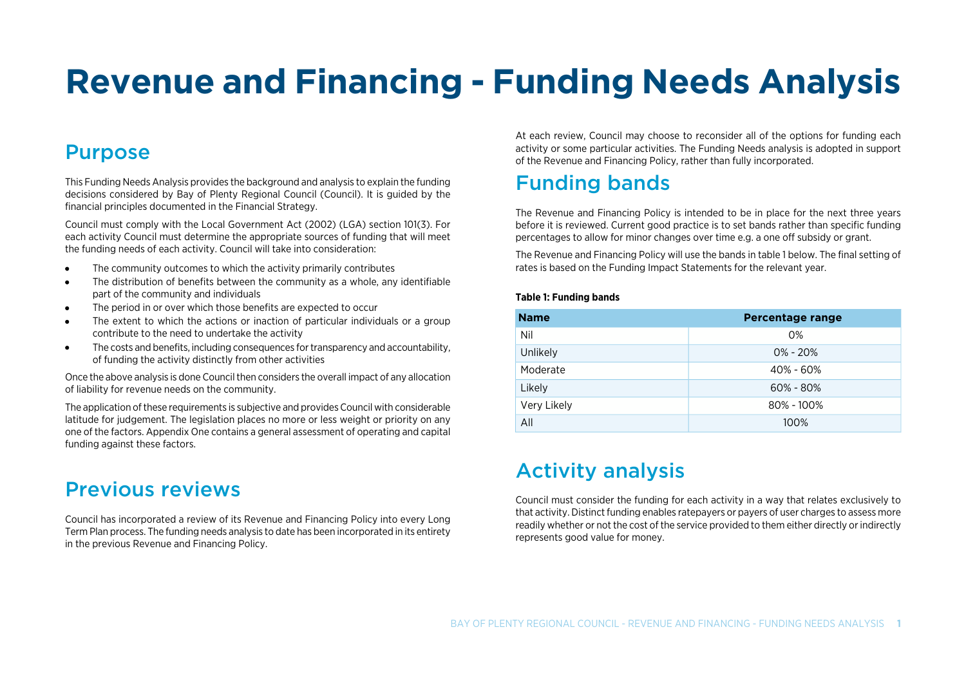# **Revenue and Financing - Funding Needs Analysis**

# Purpose

This Funding Needs Analysis provides the background and analysis to explain the funding decisions considered by Bay of Plenty Regional Council (Council). It is guided by the financial principles documented in the Financial Strategy.

Council must comply with the Local Government Act (2002) (LGA) section 101(3). For each activity Council must determine the appropriate sources of funding that will meet the funding needs of each activity. Council will take into consideration:

- $\bullet$ The community outcomes to which the activity primarily contributes
- The distribution of benefits between the community as a whole, any identifiable  $\bullet$ part of the community and individuals
- The period in or over which those benefits are expected to occur  $\bullet$
- $\bullet$ The extent to which the actions or inaction of particular individuals or a group contribute to the need to undertake the activity
- The costs and benefits, including consequences for transparency and accountability,  $\bullet$ of funding the activity distinctly from other activities

Once the above analysis is done Council then considers the overall impact of any allocation of liability for revenue needs on the community.

The application of these requirements is subjective and provides Council with considerable latitude for judgement. The legislation places no more or less weight or priority on any one of the factors. Appendix One contains a general assessment of operating and capital funding against these factors.

# Previous reviews

Council has incorporated a review of its Revenue and Financing Policy into every Long Term Plan process. The funding needs analysis to date has been incorporated in its entirety in the previous Revenue and Financing Policy.

At each review, Council may choose to reconsider all of the options for funding each activity or some particular activities. The Funding Needs analysis is adopted in support of the Revenue and Financing Policy, rather than fully incorporated.

# Funding bands

The Revenue and Financing Policy is intended to be in place for the next three years before it is reviewed. Current good practice is to set bands rather than specific funding percentages to allow for minor changes over time e.g. a one off subsidy or grant.

The Revenue and Financing Policy will use the bands in table 1 below. The final setting of rates is based on the Funding Impact Statements for the relevant year.

#### **Table 1: Funding bands**

| <b>Name</b> | <b>Percentage range</b> |  |  |
|-------------|-------------------------|--|--|
| Nil         | 0%                      |  |  |
| Unlikely    | $0\% - 20\%$            |  |  |
| Moderate    | $40\% - 60\%$           |  |  |
| Likely      | $60\% - 80\%$           |  |  |
| Very Likely | $80\% - 100\%$          |  |  |
| All         | 100%                    |  |  |

# Activity analysis

Council must consider the funding for each activity in a way that relates exclusively to that activity. Distinct funding enables ratepayers or payers of user charges to assess more readily whether or not the cost of the service provided to them either directly or indirectly represents good value for money.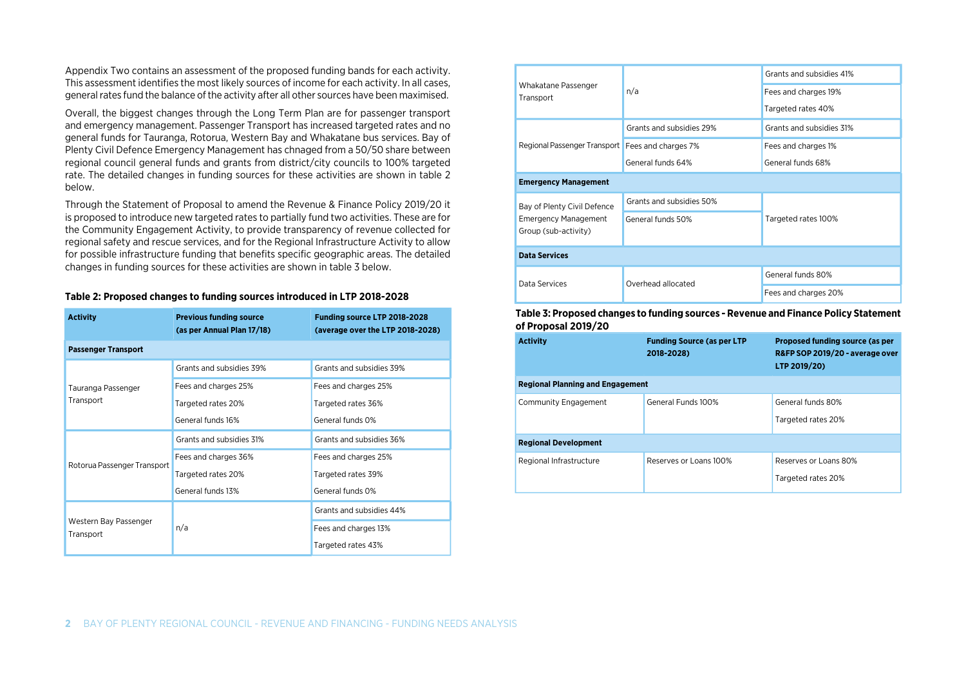Appendix Two contains an assessment of the proposed funding bands for each activity. This assessment identifies the most likely sources of income for each activity. In all cases, general rates fund the balance of the activity after all other sources have been maximised.

Overall, the biggest changes through the Long Term Plan are for passenger transport and emergency management. Passenger Transport has increased targeted rates and no general funds for Tauranga, Rotorua, Western Bay and Whakatane bus services. Bay of Plenty Civil Defence Emergency Management has chnaged from a 50/50 share between regional council general funds and grants from district/city councils to 100% targeted rate. The detailed changes in funding sources for these activities are shown in table 2 below.

Through the Statement of Proposal to amend the Revenue & Finance Policy 2019/20 it is proposed to introduce new targeted rates to partially fund two activities. These are for the Community Engagement Activity, to provide transparency of revenue collected for regional safety and rescue services, and for the Regional Infrastructure Activity to allow for possible infrastructure funding that benefits specific geographic areas. The detailed changes in funding sources for these activities are shown in table 3 below.

| <b>Activity</b>                    | <b>Previous funding source</b><br>(as per Annual Plan 17/18) | Funding source LTP 2018-2028<br>(average over the LTP 2018-2028) |  |
|------------------------------------|--------------------------------------------------------------|------------------------------------------------------------------|--|
| <b>Passenger Transport</b>         |                                                              |                                                                  |  |
|                                    | Grants and subsidies 39%                                     | Grants and subsidies 39%                                         |  |
| Tauranga Passenger                 | Fees and charges 25%                                         | Fees and charges 25%                                             |  |
| Transport                          | Targeted rates 20%                                           | Targeted rates 36%                                               |  |
|                                    | General funds 16%                                            | General funds 0%                                                 |  |
|                                    | Grants and subsidies 31%                                     | Grants and subsidies 36%                                         |  |
| Rotorua Passenger Transport        | Fees and charges 36%                                         | Fees and charges 25%                                             |  |
|                                    | Targeted rates 20%                                           | Targeted rates 39%                                               |  |
|                                    | General funds 13%                                            | General funds 0%                                                 |  |
|                                    |                                                              | Grants and subsidies 44%                                         |  |
| Western Bay Passenger<br>Transport | n/a                                                          | Fees and charges 13%                                             |  |
|                                    |                                                              | Targeted rates 43%                                               |  |

#### **Table 2: Proposed changes to funding sources introduced in LTP 2018-2028**

|                                                    |                          | Grants and subsidies 41% |  |
|----------------------------------------------------|--------------------------|--------------------------|--|
| Whakatane Passenger<br>Transport                   | n/a                      | Fees and charges 19%     |  |
|                                                    |                          | Targeted rates 40%       |  |
|                                                    | Grants and subsidies 29% | Grants and subsidies 31% |  |
| Regional Passenger Transport   Fees and charges 7% |                          | Fees and charges 1%      |  |
|                                                    | General funds 64%        | General funds 68%        |  |
| <b>Emergency Management</b>                        |                          |                          |  |
| Bay of Plenty Civil Defence                        | Grants and subsidies 50% |                          |  |
| <b>Emergency Management</b>                        | General funds 50%        | Targeted rates 100%      |  |
| Group (sub-activity)                               |                          |                          |  |
| <b>Data Services</b>                               |                          |                          |  |
| Data Services                                      | Overhead allocated       | General funds 80%        |  |
|                                                    |                          | Fees and charges 20%     |  |

#### **Table 3: Proposed changes to funding sources - Revenue and Finance Policy Statement of Proposal 2019/20**

| <b>Activity</b>                         | <b>Funding Source (as per LTP</b><br>2018-2028) | Proposed funding source (as per<br>R&FP SOP 2019/20 - average over<br>LTP 2019/20) |
|-----------------------------------------|-------------------------------------------------|------------------------------------------------------------------------------------|
| <b>Regional Planning and Engagement</b> |                                                 |                                                                                    |
| Community Engagement                    | General Funds 100%                              | General funds 80%<br>Targeted rates 20%                                            |
| <b>Regional Development</b>             |                                                 |                                                                                    |
| Regional Infrastructure                 | Reserves or Loans 100%                          | Reserves or Loans 80%<br>Targeted rates 20%                                        |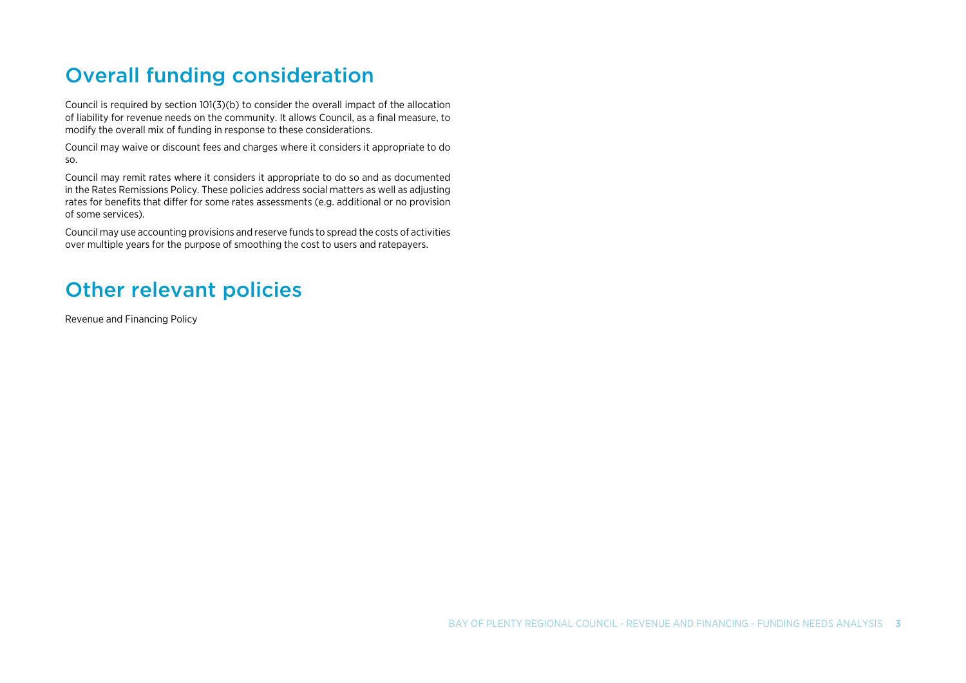# Overall funding consideration

Council is required by section 101(3)(b) to consider the overall impact of the allocation of liability for revenue needs on the community. It allows Council, as a final measure, to modify the overall mix of funding in response to these considerations.

Council may waive or discount fees and charges where it considers it appropriate to do so.

Council may remit rates where it considers it appropriate to do so and as documented in the Rates Remissions Policy. These policies address social matters as well as adjusting rates for benefits that differ for some rates assessments (e.g. additional or no provision of some services).

Council may use accounting provisions and reserve funds to spread the costs of activities over multiple years for the purpose of smoothing the cost to users and ratepayers.

# Other relevant policies

Revenue and Financing Policy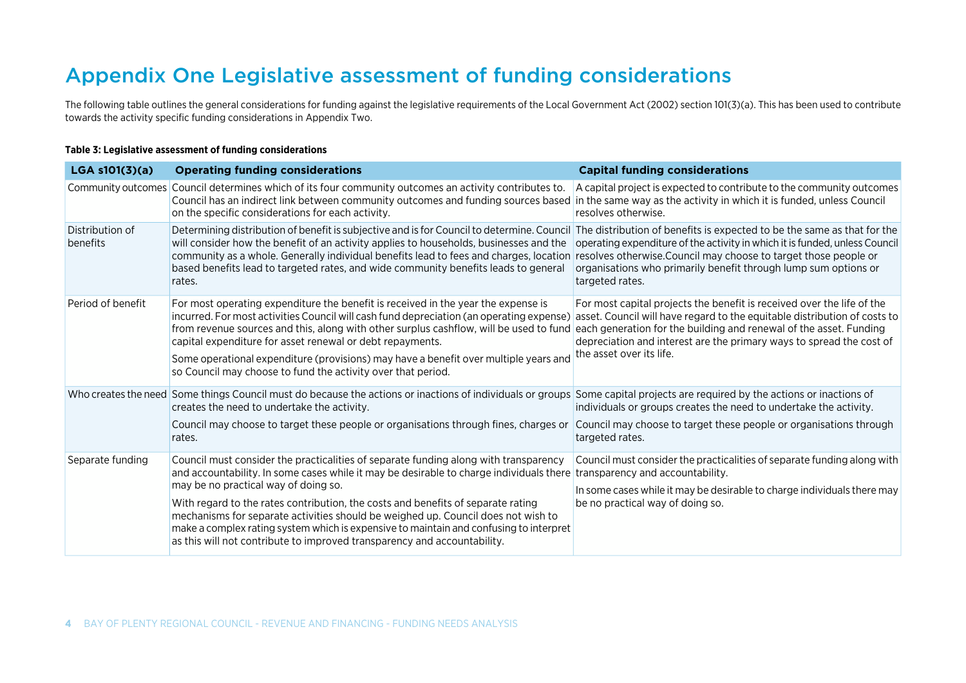# Appendix One Legislative assessment of funding considerations

The following table outlines the general considerations for funding against the legislative requirements of the Local Government Act (2002) section 101(3)(a). This has been used to contribute towards the activity specific funding considerations in Appendix Two.

#### **Table 3: Legislative assessment of funding considerations**

| $LGA$ s101(3)(a)            | <b>Operating funding considerations</b>                                                                                                                                                                                                                                                                                                                                                                                                                                                                                                                                | <b>Capital funding considerations</b>                                                                                                                                                                                                                                                                                         |
|-----------------------------|------------------------------------------------------------------------------------------------------------------------------------------------------------------------------------------------------------------------------------------------------------------------------------------------------------------------------------------------------------------------------------------------------------------------------------------------------------------------------------------------------------------------------------------------------------------------|-------------------------------------------------------------------------------------------------------------------------------------------------------------------------------------------------------------------------------------------------------------------------------------------------------------------------------|
|                             | Community outcomes Council determines which of its four community outcomes an activity contributes to.<br>Council has an indirect link between community outcomes and funding sources based in the same way as the activity in which it is funded, unless Council<br>on the specific considerations for each activity.                                                                                                                                                                                                                                                 | A capital project is expected to contribute to the community outcomes<br>resolves otherwise.                                                                                                                                                                                                                                  |
| Distribution of<br>benefits | Determining distribution of benefit is subjective and is for Council to determine. Council<br>will consider how the benefit of an activity applies to households, businesses and the<br>community as a whole. Generally individual benefits lead to fees and charges, location resolves otherwise. Council may choose to target those people or<br>based benefits lead to targeted rates, and wide community benefits leads to general<br>rates.                                                                                                                       | The distribution of benefits is expected to be the same as that for the<br>operating expenditure of the activity in which it is funded, unless Council<br>organisations who primarily benefit through lump sum options or<br>targeted rates.                                                                                  |
| Period of benefit           | For most operating expenditure the benefit is received in the year the expense is<br>incurred. For most activities Council will cash fund depreciation (an operating expense)<br>from revenue sources and this, along with other surplus cashflow, will be used to fund<br>capital expenditure for asset renewal or debt repayments.<br>Some operational expenditure (provisions) may have a benefit over multiple years and<br>so Council may choose to fund the activity over that period.                                                                           | For most capital projects the benefit is received over the life of the<br>asset. Council will have regard to the equitable distribution of costs to<br>each generation for the building and renewal of the asset. Funding<br>depreciation and interest are the primary ways to spread the cost of<br>the asset over its life. |
|                             | Who creates the need Some things Council must do because the actions or inactions of individuals or groups<br>creates the need to undertake the activity.<br>Council may choose to target these people or organisations through fines, charges or<br>rates.                                                                                                                                                                                                                                                                                                            | Some capital projects are required by the actions or inactions of<br>individuals or groups creates the need to undertake the activity.<br>Council may choose to target these people or organisations through<br>targeted rates.                                                                                               |
| Separate funding            | Council must consider the practicalities of separate funding along with transparency<br>and accountability. In some cases while it may be desirable to charge individuals there<br>may be no practical way of doing so.<br>With regard to the rates contribution, the costs and benefits of separate rating<br>mechanisms for separate activities should be weighed up. Council does not wish to<br>make a complex rating system which is expensive to maintain and confusing to interpret<br>as this will not contribute to improved transparency and accountability. | Council must consider the practicalities of separate funding along with<br>transparency and accountability.<br>In some cases while it may be desirable to charge individuals there may<br>be no practical way of doing so.                                                                                                    |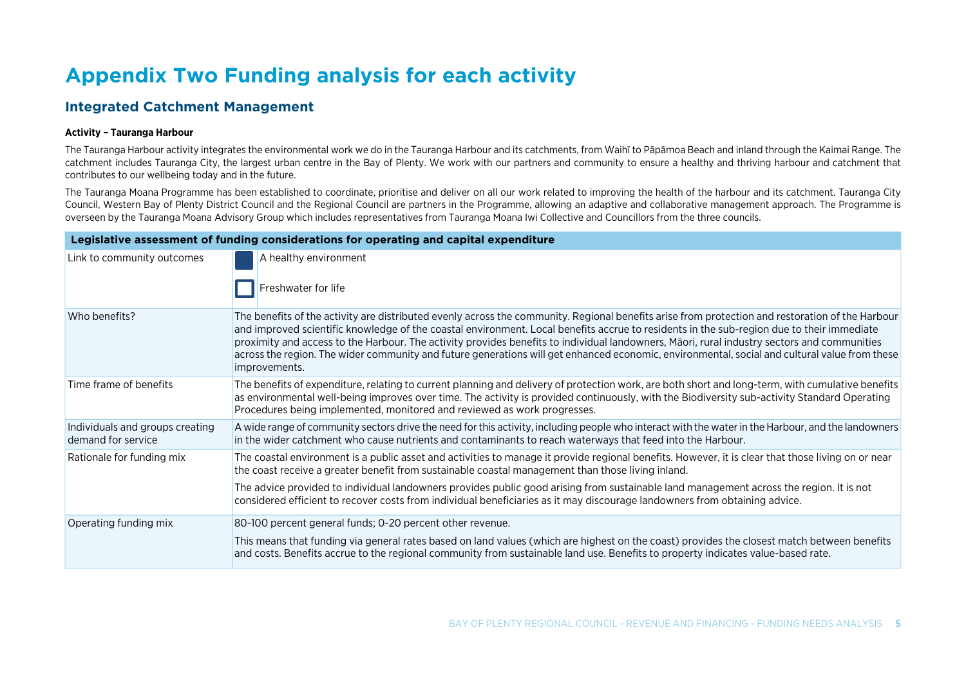# **Appendix Two Funding analysis for each activity**

### **Integrated Catchment Management**

#### **Activity – Tauranga Harbour**

The Tauranga Harbour activity integrates the environmental work we do in the Tauranga Harbour and its catchments, from Waihī to Pāpāmoa Beach and inland through the Kaimai Range. The catchment includes Tauranga City, the largest urban centre in the Bay of Plenty. We work with our partners and community to ensure a healthy and thriving harbour and catchment that contributes to our wellbeing today and in the future.

The Tauranga Moana Programme has been established to coordinate, prioritise and deliver on all our work related to improving the health of the harbour and its catchment. Tauranga City Council, Western Bay of Plenty District Council and the Regional Council are partners in the Programme, allowing an adaptive and collaborative management approach. The Programme is overseen by the Tauranga Moana Advisory Group which includes representatives from Tauranga Moana Iwi Collective and Councillors from the three councils.

|                                                       | Legislative assessment of funding considerations for operating and capital expenditure                                                                                                                                                                                                                                                                                                                                                                                                                                                                                                                         |
|-------------------------------------------------------|----------------------------------------------------------------------------------------------------------------------------------------------------------------------------------------------------------------------------------------------------------------------------------------------------------------------------------------------------------------------------------------------------------------------------------------------------------------------------------------------------------------------------------------------------------------------------------------------------------------|
| Link to community outcomes                            | A healthy environment<br>Freshwater for life                                                                                                                                                                                                                                                                                                                                                                                                                                                                                                                                                                   |
| Who benefits?                                         | The benefits of the activity are distributed evenly across the community. Regional benefits arise from protection and restoration of the Harbour<br>and improved scientific knowledge of the coastal environment. Local benefits accrue to residents in the sub-region due to their immediate<br>proximity and access to the Harbour. The activity provides benefits to individual landowners, Māori, rural industry sectors and communities<br>across the region. The wider community and future generations will get enhanced economic, environmental, social and cultural value from these<br>improvements. |
| Time frame of benefits                                | The benefits of expenditure, relating to current planning and delivery of protection work, are both short and long-term, with cumulative benefits<br>as environmental well-being improves over time. The activity is provided continuously, with the Biodiversity sub-activity Standard Operating<br>Procedures being implemented, monitored and reviewed as work progresses.                                                                                                                                                                                                                                  |
| Individuals and groups creating<br>demand for service | A wide range of community sectors drive the need for this activity, including people who interact with the water in the Harbour, and the landowners<br>in the wider catchment who cause nutrients and contaminants to reach waterways that feed into the Harbour.                                                                                                                                                                                                                                                                                                                                              |
| Rationale for funding mix                             | The coastal environment is a public asset and activities to manage it provide regional benefits. However, it is clear that those living on or near<br>the coast receive a greater benefit from sustainable coastal management than those living inland.                                                                                                                                                                                                                                                                                                                                                        |
|                                                       | The advice provided to individual landowners provides public good arising from sustainable land management across the region. It is not<br>considered efficient to recover costs from individual beneficiaries as it may discourage landowners from obtaining advice.                                                                                                                                                                                                                                                                                                                                          |
| Operating funding mix                                 | 80-100 percent general funds; 0-20 percent other revenue.                                                                                                                                                                                                                                                                                                                                                                                                                                                                                                                                                      |
|                                                       | This means that funding via general rates based on land values (which are highest on the coast) provides the closest match between benefits<br>and costs. Benefits accrue to the regional community from sustainable land use. Benefits to property indicates value-based rate.                                                                                                                                                                                                                                                                                                                                |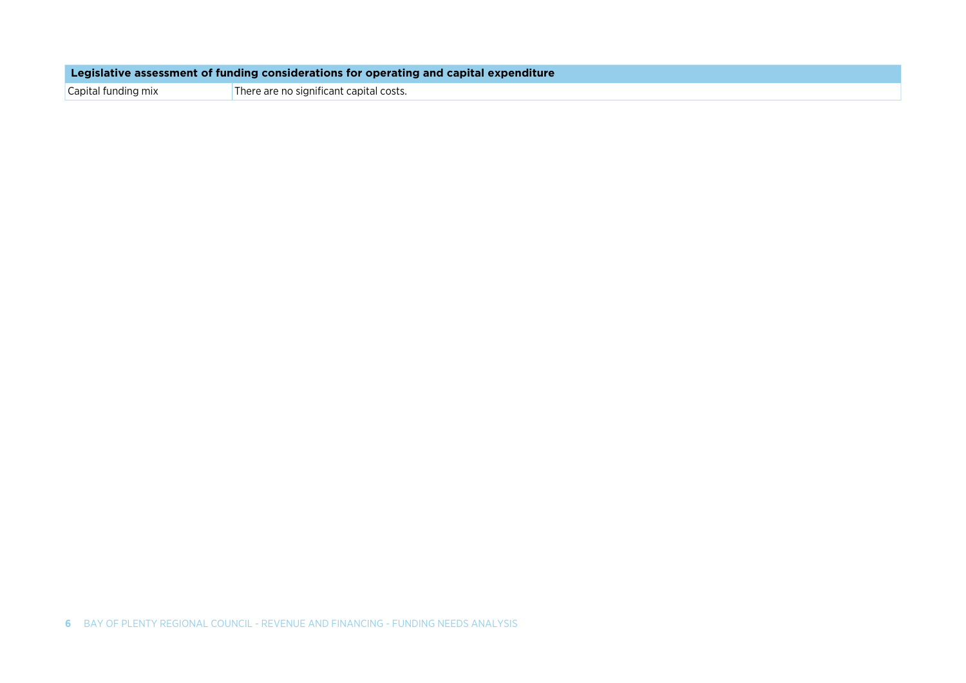**Legislative assessment of funding considerations for operating and capital expenditure** 

Capital funding mix There are no significant capital costs.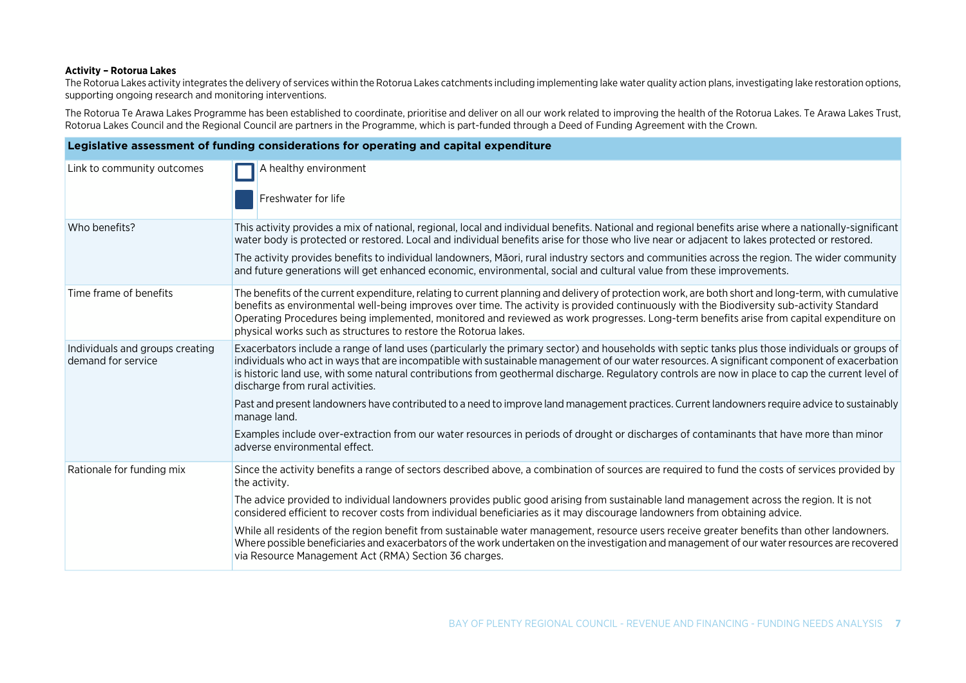#### **Activity – Rotorua Lakes**

The Rotorua Lakes activity integrates the delivery of services within the Rotorua Lakes catchments including implementing lake water quality action plans, investigating lake restoration options, supporting ongoing research and monitoring interventions.

The Rotorua Te Arawa Lakes Programme has been established to coordinate, prioritise and deliver on all our work related to improving the health of the Rotorua Lakes. Te Arawa Lakes Trust, Rotorua Lakes Council and the Regional Council are partners in the Programme, which is part-funded through a Deed of Funding Agreement with the Crown.

|                                                       | Legislative assessment of funding considerations for operating and capital expenditure                                                                                                                                                                                                                                                                                                                                                                                                                                                                                                                                                                                                                                                                                                                                                  |
|-------------------------------------------------------|-----------------------------------------------------------------------------------------------------------------------------------------------------------------------------------------------------------------------------------------------------------------------------------------------------------------------------------------------------------------------------------------------------------------------------------------------------------------------------------------------------------------------------------------------------------------------------------------------------------------------------------------------------------------------------------------------------------------------------------------------------------------------------------------------------------------------------------------|
| Link to community outcomes                            | A healthy environment<br>Freshwater for life                                                                                                                                                                                                                                                                                                                                                                                                                                                                                                                                                                                                                                                                                                                                                                                            |
| Who benefits?                                         | This activity provides a mix of national, regional, local and individual benefits. National and regional benefits arise where a nationally-significant<br>water body is protected or restored. Local and individual benefits arise for those who live near or adjacent to lakes protected or restored.<br>The activity provides benefits to individual landowners, Māori, rural industry sectors and communities across the region. The wider community<br>and future generations will get enhanced economic, environmental, social and cultural value from these improvements.                                                                                                                                                                                                                                                         |
| Time frame of benefits                                | The benefits of the current expenditure, relating to current planning and delivery of protection work, are both short and long-term, with cumulative<br>benefits as environmental well-being improves over time. The activity is provided continuously with the Biodiversity sub-activity Standard<br>Operating Procedures being implemented, monitored and reviewed as work progresses. Long-term benefits arise from capital expenditure on<br>physical works such as structures to restore the Rotorua lakes.                                                                                                                                                                                                                                                                                                                        |
| Individuals and groups creating<br>demand for service | Exacerbators include a range of land uses (particularly the primary sector) and households with septic tanks plus those individuals or groups of<br>individuals who act in ways that are incompatible with sustainable management of our water resources. A significant component of exacerbation<br>is historic land use, with some natural contributions from geothermal discharge. Regulatory controls are now in place to cap the current level of<br>discharge from rural activities.<br>Past and present landowners have contributed to a need to improve land management practices. Current landowners require advice to sustainably<br>manage land.<br>Examples include over-extraction from our water resources in periods of drought or discharges of contaminants that have more than minor<br>adverse environmental effect. |
| Rationale for funding mix                             | Since the activity benefits a range of sectors described above, a combination of sources are required to fund the costs of services provided by<br>the activity.<br>The advice provided to individual landowners provides public good arising from sustainable land management across the region. It is not<br>considered efficient to recover costs from individual beneficiaries as it may discourage landowners from obtaining advice.<br>While all residents of the region benefit from sustainable water management, resource users receive greater benefits than other landowners.<br>Where possible beneficiaries and exacerbators of the work undertaken on the investigation and management of our water resources are recovered<br>via Resource Management Act (RMA) Section 36 charges.                                      |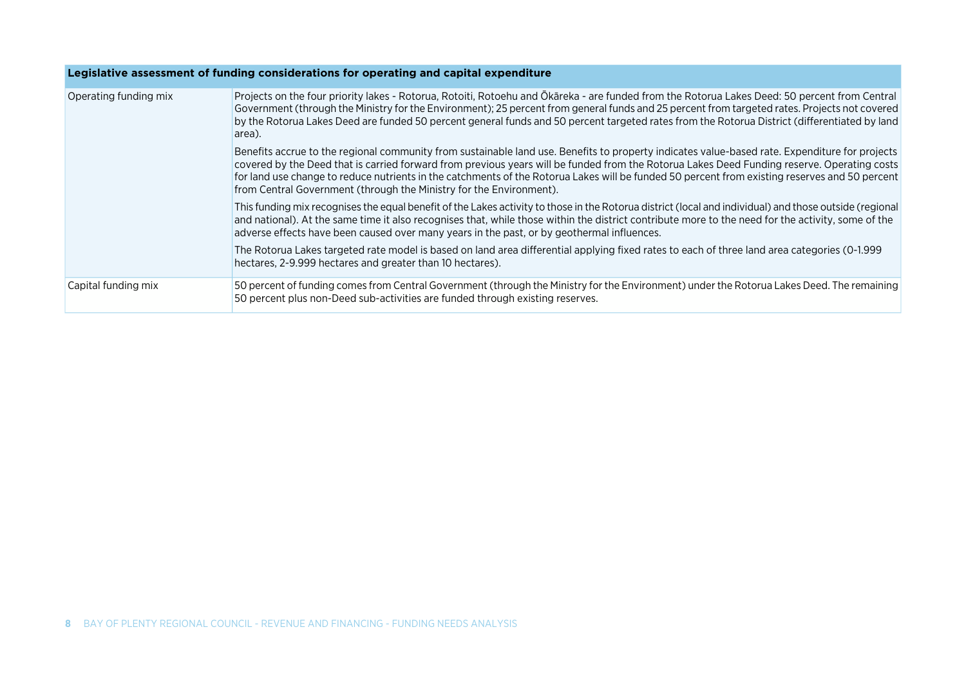|                       | Legislative assessment of funding considerations for operating and capital expenditure                                                                                                                                                                                                                                                                                                                                                                                                                                 |
|-----------------------|------------------------------------------------------------------------------------------------------------------------------------------------------------------------------------------------------------------------------------------------------------------------------------------------------------------------------------------------------------------------------------------------------------------------------------------------------------------------------------------------------------------------|
| Operating funding mix | Projects on the four priority lakes - Rotorua, Rotoiti, Rotoehu and Ōkāreka - are funded from the Rotorua Lakes Deed: 50 percent from Central<br>Government (through the Ministry for the Environment); 25 percent from general funds and 25 percent from targeted rates. Projects not covered<br>by the Rotorua Lakes Deed are funded 50 percent general funds and 50 percent targeted rates from the Rotorua District (differentiated by land<br>area).                                                              |
|                       | Benefits accrue to the regional community from sustainable land use. Benefits to property indicates value-based rate. Expenditure for projects<br>covered by the Deed that is carried forward from previous years will be funded from the Rotorua Lakes Deed Funding reserve. Operating costs<br>for land use change to reduce nutrients in the catchments of the Rotorua Lakes will be funded 50 percent from existing reserves and 50 percent<br>from Central Government (through the Ministry for the Environment). |
|                       | This funding mix recognises the equal benefit of the Lakes activity to those in the Rotorua district (local and individual) and those outside (regional<br>and national). At the same time it also recognises that, while those within the district contribute more to the need for the activity, some of the<br>adverse effects have been caused over many years in the past, or by geothermal influences.                                                                                                            |
|                       | The Rotorua Lakes targeted rate model is based on land area differential applying fixed rates to each of three land area categories (0-1.999<br>hectares, 2-9.999 hectares and greater than 10 hectares).                                                                                                                                                                                                                                                                                                              |
| Capital funding mix   | 50 percent of funding comes from Central Government (through the Ministry for the Environment) under the Rotorua Lakes Deed. The remaining<br>50 percent plus non-Deed sub-activities are funded through existing reserves.                                                                                                                                                                                                                                                                                            |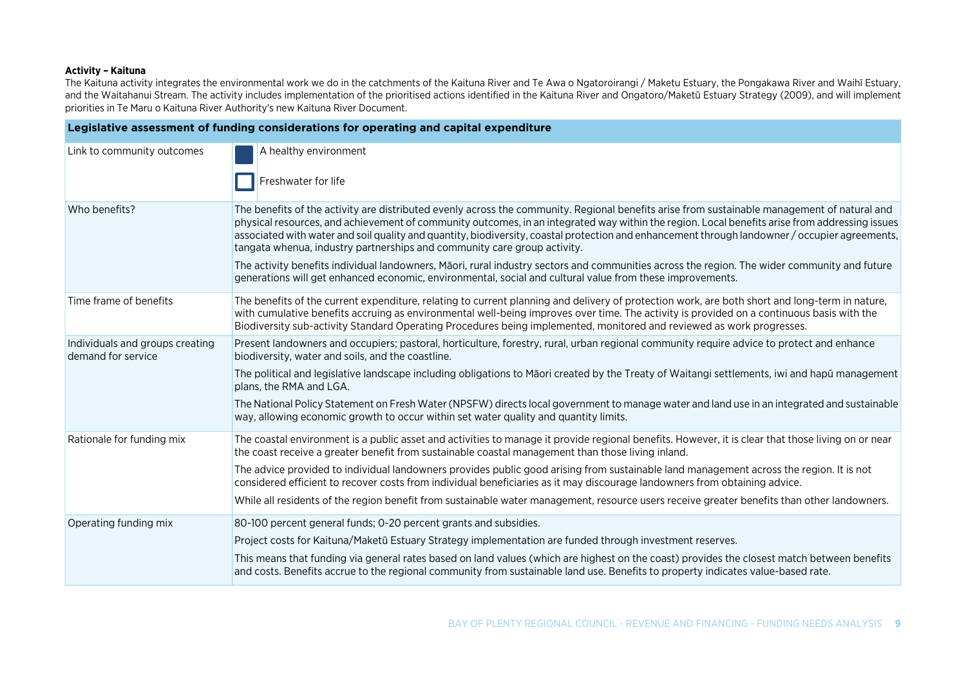#### **Activity – Kaituna**

The Kaituna activity integrates the environmental work we do in the catchments of the Kaituna River and Te Awa o Ngatoroirangi / Maketu Estuary, the Pongakawa River and Waihī Estuary, and the Waitahanui Stream. The activity includes implementation of the prioritised actions identified in the Kaituna River and Ongatoro/Maketū Estuary Strategy (2009), and will implement priorities in Te Maru o Kaituna River Authority's new Kaituna River Document.

|                                                       | Legislative assessment of funding considerations for operating and capital expenditure                                                                                                                                                                                                                                                                                                                                                                                                                                       |
|-------------------------------------------------------|------------------------------------------------------------------------------------------------------------------------------------------------------------------------------------------------------------------------------------------------------------------------------------------------------------------------------------------------------------------------------------------------------------------------------------------------------------------------------------------------------------------------------|
| Link to community outcomes                            | A healthy environment<br>Freshwater for life                                                                                                                                                                                                                                                                                                                                                                                                                                                                                 |
| Who benefits?                                         | The benefits of the activity are distributed evenly across the community. Regional benefits arise from sustainable management of natural and<br>physical resources, and achievement of community outcomes, in an integrated way within the region. Local benefits arise from addressing issues<br>associated with water and soil quality and quantity, biodiversity, coastal protection and enhancement through landowner / occupier agreements,<br>tangata whenua, industry partnerships and community care group activity. |
|                                                       | The activity benefits individual landowners, Māori, rural industry sectors and communities across the region. The wider community and future<br>generations will get enhanced economic, environmental, social and cultural value from these improvements.                                                                                                                                                                                                                                                                    |
| Time frame of benefits                                | The benefits of the current expenditure, relating to current planning and delivery of protection work, are both short and long-term in nature,<br>with cumulative benefits accruing as environmental well-being improves over time. The activity is provided on a continuous basis with the<br>Biodiversity sub-activity Standard Operating Procedures being implemented, monitored and reviewed as work progresses.                                                                                                         |
| Individuals and groups creating<br>demand for service | Present landowners and occupiers; pastoral, horticulture, forestry, rural, urban regional community require advice to protect and enhance<br>biodiversity, water and soils, and the coastline.                                                                                                                                                                                                                                                                                                                               |
|                                                       | The political and legislative landscape including obligations to Māori created by the Treaty of Waitangi settlements, iwi and hapū management<br>plans, the RMA and LGA.                                                                                                                                                                                                                                                                                                                                                     |
|                                                       | The National Policy Statement on Fresh Water (NPSFW) directs local government to manage water and land use in an integrated and sustainable<br>way, allowing economic growth to occur within set water quality and quantity limits.                                                                                                                                                                                                                                                                                          |
| Rationale for funding mix                             | The coastal environment is a public asset and activities to manage it provide regional benefits. However, it is clear that those living on or near<br>the coast receive a greater benefit from sustainable coastal management than those living inland.                                                                                                                                                                                                                                                                      |
|                                                       | The advice provided to individual landowners provides public good arising from sustainable land management across the region. It is not<br>considered efficient to recover costs from individual beneficiaries as it may discourage landowners from obtaining advice.                                                                                                                                                                                                                                                        |
|                                                       | While all residents of the region benefit from sustainable water management, resource users receive greater benefits than other landowners.                                                                                                                                                                                                                                                                                                                                                                                  |
| Operating funding mix                                 | 80-100 percent general funds; 0-20 percent grants and subsidies.                                                                                                                                                                                                                                                                                                                                                                                                                                                             |
|                                                       | Project costs for Kaituna/Maketū Estuary Strategy implementation are funded through investment reserves.                                                                                                                                                                                                                                                                                                                                                                                                                     |
|                                                       | This means that funding via general rates based on land values (which are highest on the coast) provides the closest match between benefits<br>and costs. Benefits accrue to the regional community from sustainable land use. Benefits to property indicates value-based rate.                                                                                                                                                                                                                                              |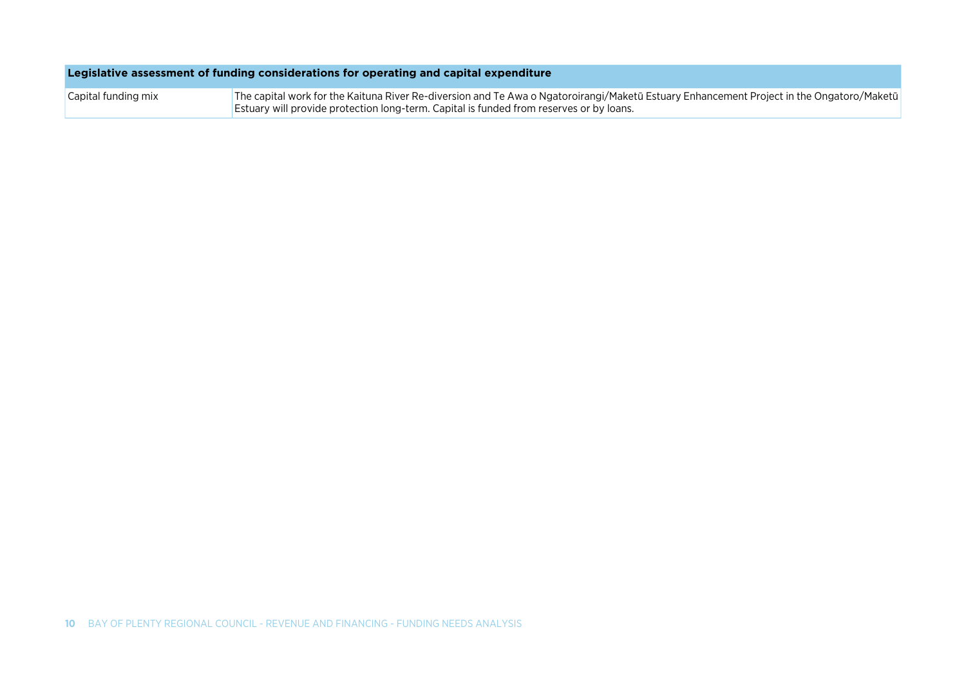| Legislative assessment of funding considerations for operating and capital expenditure |  |  |
|----------------------------------------------------------------------------------------|--|--|
|                                                                                        |  |  |

The capital work for the Kaituna River Re-diversion and Te Awa o Ngatoroirangi/Maketū Estuary Enhancement Project in the Ongatoro/Maketū Estuary will provide protection long-term. Capital is funded from reserves or by loans. Capital funding mix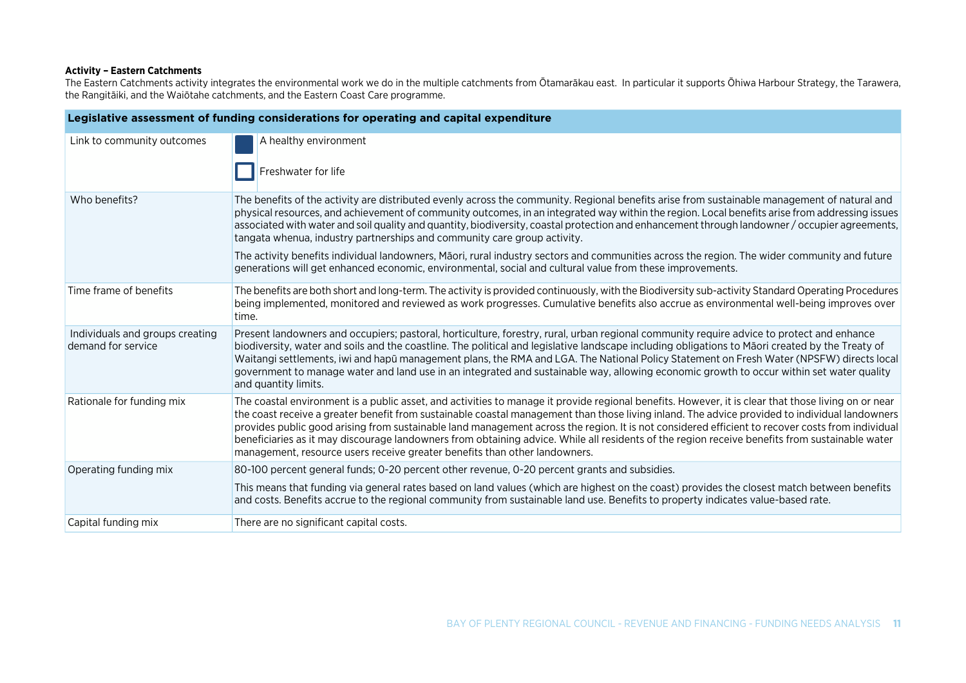#### **Activity – Eastern Catchments**

The Eastern Catchments activity integrates the environmental work we do in the multiple catchments from Ōtamarākau east. In particular it supports Ōhiwa Harbour Strategy, the Tarawera, the Rangitāiki, and the Waiōtahe catchments, and the Eastern Coast Care programme.

|                                                       | Legislative assessment of funding considerations for operating and capital expenditure                                                                                                                                                                                                                                                                                                                                                                                                                                                                                                                                                                                                    |
|-------------------------------------------------------|-------------------------------------------------------------------------------------------------------------------------------------------------------------------------------------------------------------------------------------------------------------------------------------------------------------------------------------------------------------------------------------------------------------------------------------------------------------------------------------------------------------------------------------------------------------------------------------------------------------------------------------------------------------------------------------------|
| Link to community outcomes                            | A healthy environment<br>Freshwater for life                                                                                                                                                                                                                                                                                                                                                                                                                                                                                                                                                                                                                                              |
| Who benefits?                                         | The benefits of the activity are distributed evenly across the community. Regional benefits arise from sustainable management of natural and<br>physical resources, and achievement of community outcomes, in an integrated way within the region. Local benefits arise from addressing issues<br>associated with water and soil quality and quantity, biodiversity, coastal protection and enhancement through landowner / occupier agreements,<br>tangata whenua, industry partnerships and community care group activity.                                                                                                                                                              |
|                                                       | The activity benefits individual landowners, Māori, rural industry sectors and communities across the region. The wider community and future<br>generations will get enhanced economic, environmental, social and cultural value from these improvements.                                                                                                                                                                                                                                                                                                                                                                                                                                 |
| Time frame of benefits                                | The benefits are both short and long-term. The activity is provided continuously, with the Biodiversity sub-activity Standard Operating Procedures<br>being implemented, monitored and reviewed as work progresses. Cumulative benefits also accrue as environmental well-being improves over<br>time.                                                                                                                                                                                                                                                                                                                                                                                    |
| Individuals and groups creating<br>demand for service | Present landowners and occupiers; pastoral, horticulture, forestry, rural, urban regional community require advice to protect and enhance<br>biodiversity, water and soils and the coastline. The political and legislative landscape including obligations to Māori created by the Treaty of<br>Waitangi settlements, iwi and hapū management plans, the RMA and LGA. The National Policy Statement on Fresh Water (NPSFW) directs local<br>government to manage water and land use in an integrated and sustainable way, allowing economic growth to occur within set water quality<br>and quantity limits.                                                                             |
| Rationale for funding mix                             | The coastal environment is a public asset, and activities to manage it provide regional benefits. However, it is clear that those living on or near<br>the coast receive a greater benefit from sustainable coastal management than those living inland. The advice provided to individual landowners<br>provides public good arising from sustainable land management across the region. It is not considered efficient to recover costs from individual<br>beneficiaries as it may discourage landowners from obtaining advice. While all residents of the region receive benefits from sustainable water<br>management, resource users receive greater benefits than other landowners. |
| Operating funding mix                                 | 80-100 percent general funds; 0-20 percent other revenue, 0-20 percent grants and subsidies.                                                                                                                                                                                                                                                                                                                                                                                                                                                                                                                                                                                              |
|                                                       | This means that funding via general rates based on land values (which are highest on the coast) provides the closest match between benefits<br>and costs. Benefits accrue to the regional community from sustainable land use. Benefits to property indicates value-based rate.                                                                                                                                                                                                                                                                                                                                                                                                           |
| Capital funding mix                                   | There are no significant capital costs.                                                                                                                                                                                                                                                                                                                                                                                                                                                                                                                                                                                                                                                   |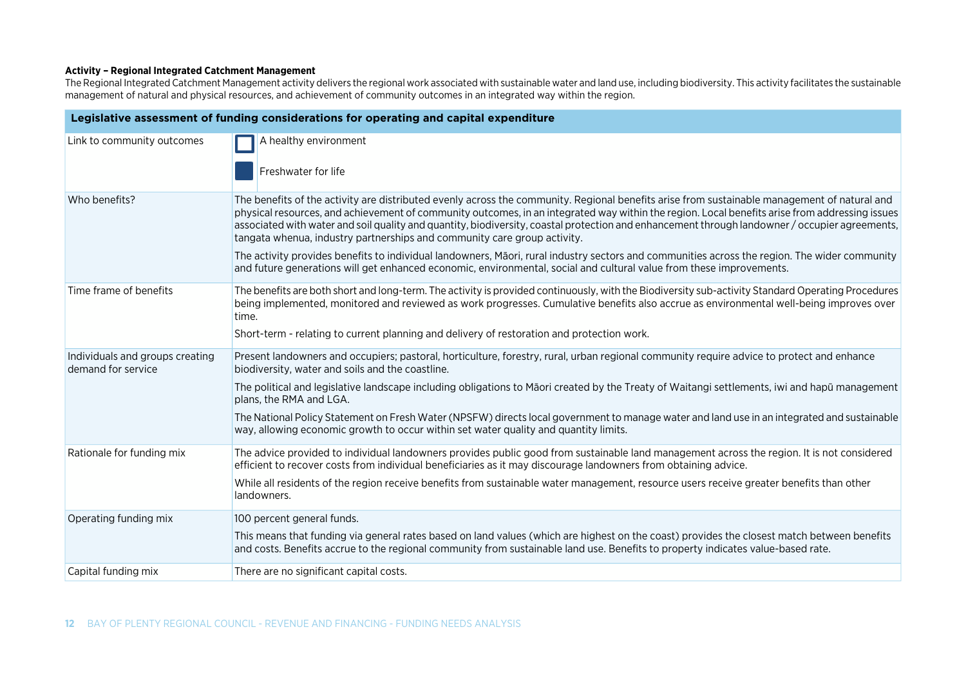#### **Activity – Regional Integrated Catchment Management**

The Regional Integrated Catchment Management activity delivers the regional work associated with sustainable water and land use, including biodiversity. This activity facilitates the sustainable management of natural and physical resources, and achievement of community outcomes in an integrated way within the region.

| Legislative assessment of funding considerations for operating and capital expenditure |                                                                                                                                                                                                                                                                                                                                                                                                                                                                                                                              |  |
|----------------------------------------------------------------------------------------|------------------------------------------------------------------------------------------------------------------------------------------------------------------------------------------------------------------------------------------------------------------------------------------------------------------------------------------------------------------------------------------------------------------------------------------------------------------------------------------------------------------------------|--|
| Link to community outcomes                                                             | A healthy environment<br>Freshwater for life                                                                                                                                                                                                                                                                                                                                                                                                                                                                                 |  |
| Who benefits?                                                                          | The benefits of the activity are distributed evenly across the community. Regional benefits arise from sustainable management of natural and<br>physical resources, and achievement of community outcomes, in an integrated way within the region. Local benefits arise from addressing issues<br>associated with water and soil quality and quantity, biodiversity, coastal protection and enhancement through landowner / occupier agreements,<br>tangata whenua, industry partnerships and community care group activity. |  |
|                                                                                        | The activity provides benefits to individual landowners, Māori, rural industry sectors and communities across the region. The wider community<br>and future generations will get enhanced economic, environmental, social and cultural value from these improvements.                                                                                                                                                                                                                                                        |  |
| Time frame of benefits                                                                 | The benefits are both short and long-term. The activity is provided continuously, with the Biodiversity sub-activity Standard Operating Procedures<br>being implemented, monitored and reviewed as work progresses. Cumulative benefits also accrue as environmental well-being improves over<br>time.                                                                                                                                                                                                                       |  |
|                                                                                        | Short-term - relating to current planning and delivery of restoration and protection work.                                                                                                                                                                                                                                                                                                                                                                                                                                   |  |
| Individuals and groups creating<br>demand for service                                  | Present landowners and occupiers; pastoral, horticulture, forestry, rural, urban regional community require advice to protect and enhance<br>biodiversity, water and soils and the coastline.                                                                                                                                                                                                                                                                                                                                |  |
|                                                                                        | The political and legislative landscape including obligations to Māori created by the Treaty of Waitangi settlements, iwi and hapū management<br>plans, the RMA and LGA.                                                                                                                                                                                                                                                                                                                                                     |  |
|                                                                                        | The National Policy Statement on Fresh Water (NPSFW) directs local government to manage water and land use in an integrated and sustainable<br>way, allowing economic growth to occur within set water quality and quantity limits.                                                                                                                                                                                                                                                                                          |  |
| Rationale for funding mix                                                              | The advice provided to individual landowners provides public good from sustainable land management across the region. It is not considered<br>efficient to recover costs from individual beneficiaries as it may discourage landowners from obtaining advice.                                                                                                                                                                                                                                                                |  |
|                                                                                        | While all residents of the region receive benefits from sustainable water management, resource users receive greater benefits than other<br>landowners.                                                                                                                                                                                                                                                                                                                                                                      |  |
| Operating funding mix                                                                  | 100 percent general funds.                                                                                                                                                                                                                                                                                                                                                                                                                                                                                                   |  |
|                                                                                        | This means that funding via general rates based on land values (which are highest on the coast) provides the closest match between benefits<br>and costs. Benefits accrue to the regional community from sustainable land use. Benefits to property indicates value-based rate.                                                                                                                                                                                                                                              |  |
| Capital funding mix                                                                    | There are no significant capital costs.                                                                                                                                                                                                                                                                                                                                                                                                                                                                                      |  |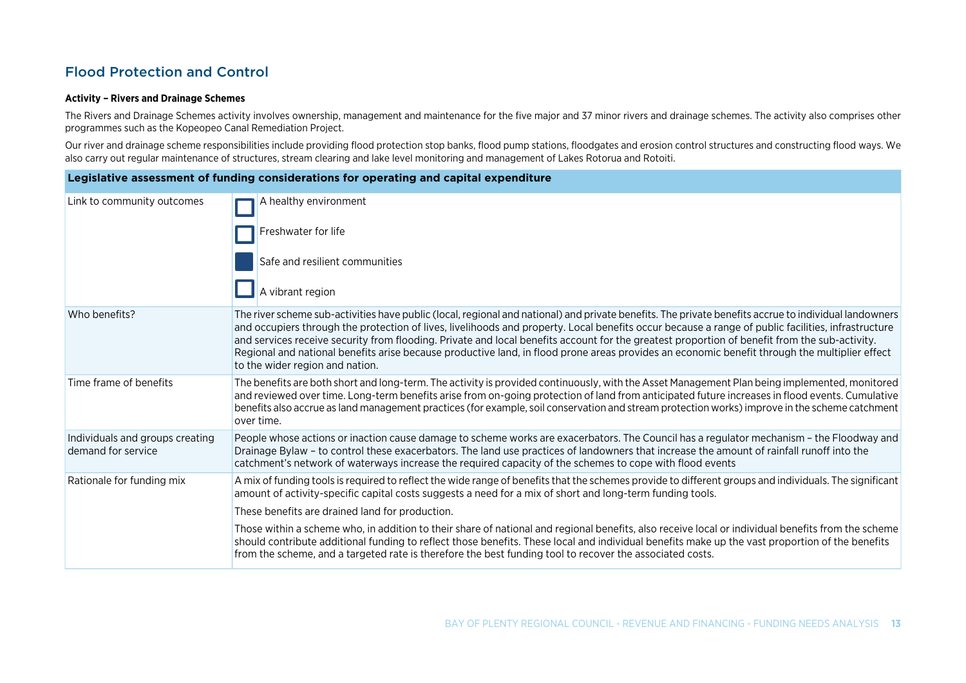### Flood Protection and Control

#### **Activity – Rivers and Drainage Schemes**

The Rivers and Drainage Schemes activity involves ownership, management and maintenance for the five major and 37 minor rivers and drainage schemes. The activity also comprises other programmes such as the Kopeopeo Canal Remediation Project.

Our river and drainage scheme responsibilities include providing flood protection stop banks, flood pump stations, floodgates and erosion control structures and constructing flood ways. We also carry out regular maintenance of structures, stream clearing and lake level monitoring and management of Lakes Rotorua and Rotoiti.

| Legislative assessment of funding considerations for operating and capital expenditure |                                                                                                                                                                                                                                                                                                                                                                                                                                                                                                                                                                                                                                                  |
|----------------------------------------------------------------------------------------|--------------------------------------------------------------------------------------------------------------------------------------------------------------------------------------------------------------------------------------------------------------------------------------------------------------------------------------------------------------------------------------------------------------------------------------------------------------------------------------------------------------------------------------------------------------------------------------------------------------------------------------------------|
| Link to community outcomes                                                             | A healthy environment                                                                                                                                                                                                                                                                                                                                                                                                                                                                                                                                                                                                                            |
|                                                                                        | Freshwater for life                                                                                                                                                                                                                                                                                                                                                                                                                                                                                                                                                                                                                              |
|                                                                                        | Safe and resilient communities                                                                                                                                                                                                                                                                                                                                                                                                                                                                                                                                                                                                                   |
|                                                                                        | A vibrant region                                                                                                                                                                                                                                                                                                                                                                                                                                                                                                                                                                                                                                 |
| Who benefits?                                                                          | The river scheme sub-activities have public (local, regional and national) and private benefits. The private benefits accrue to individual landowners<br>and occupiers through the protection of lives, livelihoods and property. Local benefits occur because a range of public facilities, infrastructure<br>and services receive security from flooding. Private and local benefits account for the greatest proportion of benefit from the sub-activity.<br>Regional and national benefits arise because productive land, in flood prone areas provides an economic benefit through the multiplier effect<br>to the wider region and nation. |
| Time frame of benefits                                                                 | The benefits are both short and long-term. The activity is provided continuously, with the Asset Management Plan being implemented, monitored<br>and reviewed over time. Long-term benefits arise from on-going protection of land from anticipated future increases in flood events. Cumulative<br>benefits also accrue as land management practices (for example, soil conservation and stream protection works) improve in the scheme catchment<br>over time.                                                                                                                                                                                 |
| Individuals and groups creating<br>demand for service                                  | People whose actions or inaction cause damage to scheme works are exacerbators. The Council has a regulator mechanism - the Floodway and<br>Drainage Bylaw - to control these exacerbators. The land use practices of landowners that increase the amount of rainfall runoff into the<br>catchment's network of waterways increase the required capacity of the schemes to cope with flood events                                                                                                                                                                                                                                                |
| Rationale for funding mix                                                              | A mix of funding tools is required to reflect the wide range of benefits that the schemes provide to different groups and individuals. The significant<br>amount of activity-specific capital costs suggests a need for a mix of short and long-term funding tools.                                                                                                                                                                                                                                                                                                                                                                              |
|                                                                                        | These benefits are drained land for production.                                                                                                                                                                                                                                                                                                                                                                                                                                                                                                                                                                                                  |
|                                                                                        | Those within a scheme who, in addition to their share of national and regional benefits, also receive local or individual benefits from the scheme<br>should contribute additional funding to reflect those benefits. These local and individual benefits make up the vast proportion of the benefits<br>from the scheme, and a targeted rate is therefore the best funding tool to recover the associated costs.                                                                                                                                                                                                                                |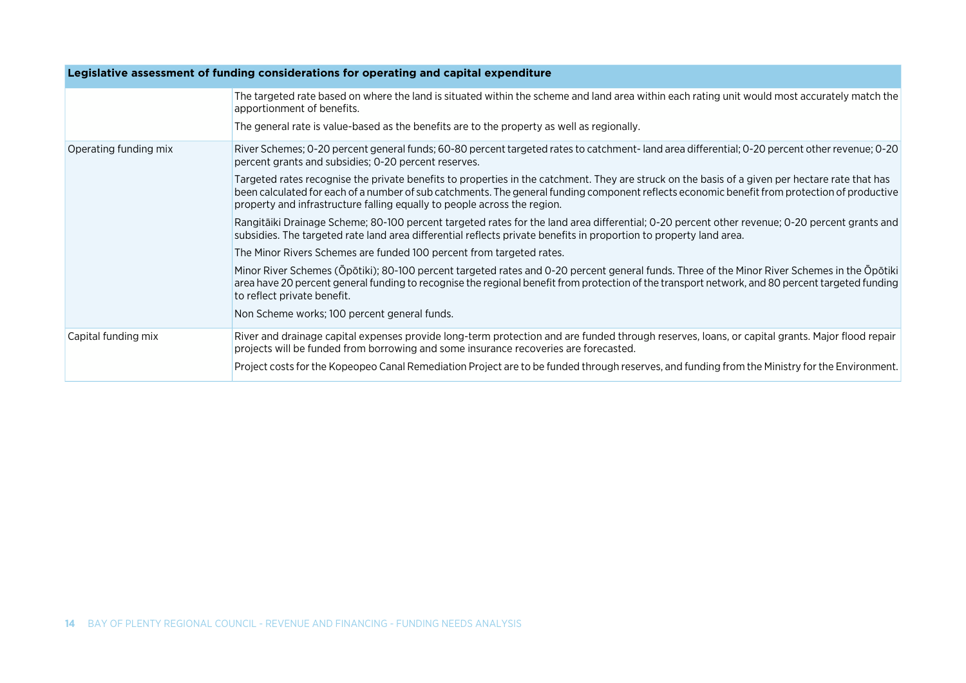| Legislative assessment of funding considerations for operating and capital expenditure |                                                                                                                                                                                                                                                                                                                                                                              |
|----------------------------------------------------------------------------------------|------------------------------------------------------------------------------------------------------------------------------------------------------------------------------------------------------------------------------------------------------------------------------------------------------------------------------------------------------------------------------|
|                                                                                        | The targeted rate based on where the land is situated within the scheme and land area within each rating unit would most accurately match the<br>apportionment of benefits.                                                                                                                                                                                                  |
|                                                                                        | The general rate is value-based as the benefits are to the property as well as regionally.                                                                                                                                                                                                                                                                                   |
| Operating funding mix                                                                  | River Schemes; 0-20 percent general funds; 60-80 percent targeted rates to catchment-land area differential; 0-20 percent other revenue; 0-20<br>percent grants and subsidies; 0-20 percent reserves.                                                                                                                                                                        |
|                                                                                        | Targeted rates recognise the private benefits to properties in the catchment. They are struck on the basis of a given per hectare rate that has<br>been calculated for each of a number of sub catchments. The general funding component reflects economic benefit from protection of productive<br>property and infrastructure falling equally to people across the region. |
|                                                                                        | Rangitāiki Drainage Scheme; 80-100 percent targeted rates for the land area differential; 0-20 percent other revenue; 0-20 percent grants and<br>subsidies. The targeted rate land area differential reflects private benefits in proportion to property land area.                                                                                                          |
|                                                                                        | The Minor Rivers Schemes are funded 100 percent from targeted rates.                                                                                                                                                                                                                                                                                                         |
|                                                                                        | Minor River Schemes (Ōpōtiki); 80-100 percent targeted rates and 0-20 percent general funds. Three of the Minor River Schemes in the Ōpōtiki<br>area have 20 percent general funding to recognise the regional benefit from protection of the transport network, and 80 percent targeted funding<br>to reflect private benefit.                                              |
|                                                                                        | Non Scheme works; 100 percent general funds.                                                                                                                                                                                                                                                                                                                                 |
| Capital funding mix                                                                    | River and drainage capital expenses provide long-term protection and are funded through reserves, loans, or capital grants. Major flood repair<br>projects will be funded from borrowing and some insurance recoveries are forecasted.                                                                                                                                       |
|                                                                                        | Project costs for the Kopeopeo Canal Remediation Project are to be funded through reserves, and funding from the Ministry for the Environment.                                                                                                                                                                                                                               |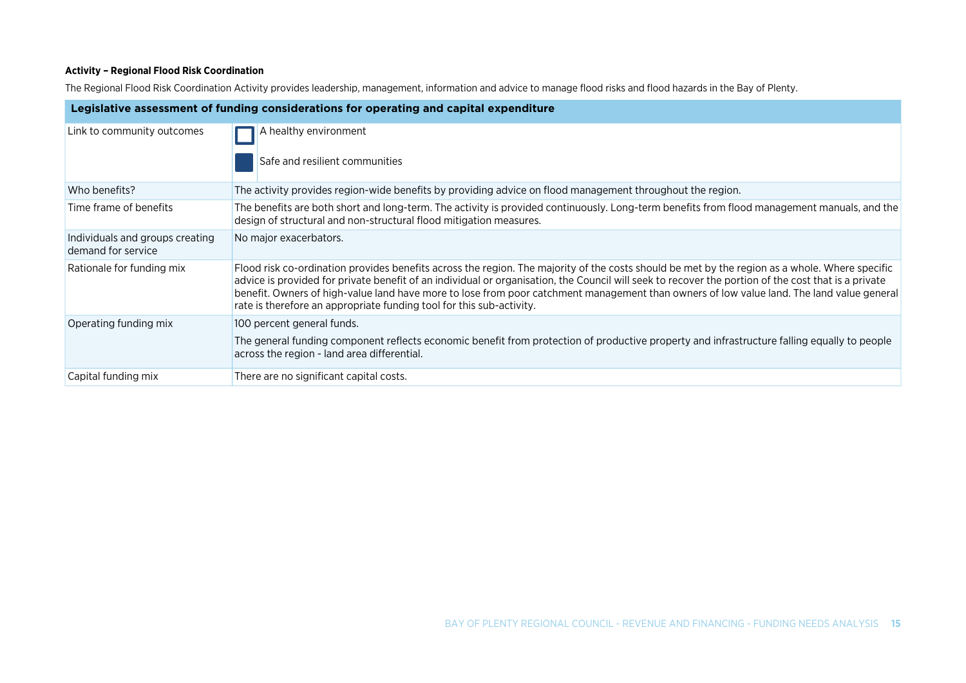#### **Activity – Regional Flood Risk Coordination**

The Regional Flood Risk Coordination Activity provides leadership, management, information and advice to manage flood risks and flood hazards in the Bay of Plenty.

| Legislative assessment of funding considerations for operating and capital expenditure |                                                                                                                                                                                                                                                                                                                                                                                                                                                                                                                            |
|----------------------------------------------------------------------------------------|----------------------------------------------------------------------------------------------------------------------------------------------------------------------------------------------------------------------------------------------------------------------------------------------------------------------------------------------------------------------------------------------------------------------------------------------------------------------------------------------------------------------------|
| Link to community outcomes                                                             | A healthy environment<br>Safe and resilient communities                                                                                                                                                                                                                                                                                                                                                                                                                                                                    |
| Who benefits?                                                                          | The activity provides region-wide benefits by providing advice on flood management throughout the region.                                                                                                                                                                                                                                                                                                                                                                                                                  |
| Time frame of benefits                                                                 | The benefits are both short and long-term. The activity is provided continuously. Long-term benefits from flood management manuals, and the<br>design of structural and non-structural flood mitigation measures.                                                                                                                                                                                                                                                                                                          |
| Individuals and groups creating<br>demand for service                                  | No major exacerbators.                                                                                                                                                                                                                                                                                                                                                                                                                                                                                                     |
| Rationale for funding mix                                                              | Flood risk co-ordination provides benefits across the region. The majority of the costs should be met by the region as a whole. Where specific<br>advice is provided for private benefit of an individual or organisation, the Council will seek to recover the portion of the cost that is a private<br>benefit. Owners of high-value land have more to lose from poor catchment management than owners of low value land. The land value general<br>rate is therefore an appropriate funding tool for this sub-activity. |
| Operating funding mix                                                                  | 100 percent general funds.                                                                                                                                                                                                                                                                                                                                                                                                                                                                                                 |
|                                                                                        | The general funding component reflects economic benefit from protection of productive property and infrastructure falling equally to people<br>across the region - land area differential.                                                                                                                                                                                                                                                                                                                                 |
| Capital funding mix                                                                    | There are no significant capital costs.                                                                                                                                                                                                                                                                                                                                                                                                                                                                                    |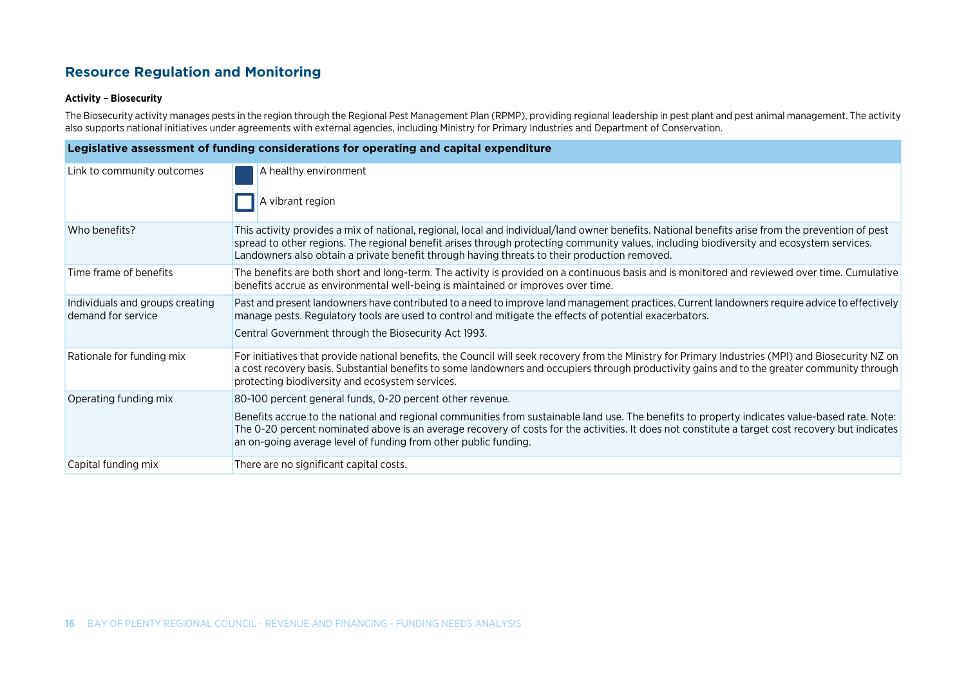### **Resource Regulation and Monitoring**

#### **Activity – Biosecurity**

The Biosecurity activity manages pests in the region through the Regional Pest Management Plan (RPMP), providing regional leadership in pest plant and pest animal management. The activity also supports national initiatives under agreements with external agencies, including Ministry for Primary Industries and Department of Conservation.

| Legislative assessment of funding considerations for operating and capital expenditure |                                                                                                                                                                                                                                                                                                                                                                                               |
|----------------------------------------------------------------------------------------|-----------------------------------------------------------------------------------------------------------------------------------------------------------------------------------------------------------------------------------------------------------------------------------------------------------------------------------------------------------------------------------------------|
| Link to community outcomes                                                             | A healthy environment                                                                                                                                                                                                                                                                                                                                                                         |
|                                                                                        | A vibrant region                                                                                                                                                                                                                                                                                                                                                                              |
| Who benefits?                                                                          | This activity provides a mix of national, regional, local and individual/land owner benefits. National benefits arise from the prevention of pest<br>spread to other regions. The regional benefit arises through protecting community values, including biodiversity and ecosystem services.<br>Landowners also obtain a private benefit through having threats to their production removed. |
| Time frame of benefits                                                                 | The benefits are both short and long-term. The activity is provided on a continuous basis and is monitored and reviewed over time. Cumulative<br>benefits accrue as environmental well-being is maintained or improves over time.                                                                                                                                                             |
| Individuals and groups creating<br>demand for service                                  | Past and present landowners have contributed to a need to improve land management practices. Current landowners require advice to effectively<br>manage pests. Regulatory tools are used to control and mitigate the effects of potential exacerbators.                                                                                                                                       |
|                                                                                        | Central Government through the Biosecurity Act 1993.                                                                                                                                                                                                                                                                                                                                          |
| Rationale for funding mix                                                              | For initiatives that provide national benefits, the Council will seek recovery from the Ministry for Primary Industries (MPI) and Biosecurity NZ on<br>a cost recovery basis. Substantial benefits to some landowners and occupiers through productivity gains and to the greater community through<br>protecting biodiversity and ecosystem services.                                        |
| Operating funding mix                                                                  | 80-100 percent general funds, 0-20 percent other revenue.                                                                                                                                                                                                                                                                                                                                     |
|                                                                                        | Benefits accrue to the national and regional communities from sustainable land use. The benefits to property indicates value-based rate. Note:<br>The 0-20 percent nominated above is an average recovery of costs for the activities. It does not constitute a target cost recovery but indicates<br>an on-going average level of funding from other public funding.                         |
| Capital funding mix                                                                    | There are no significant capital costs.                                                                                                                                                                                                                                                                                                                                                       |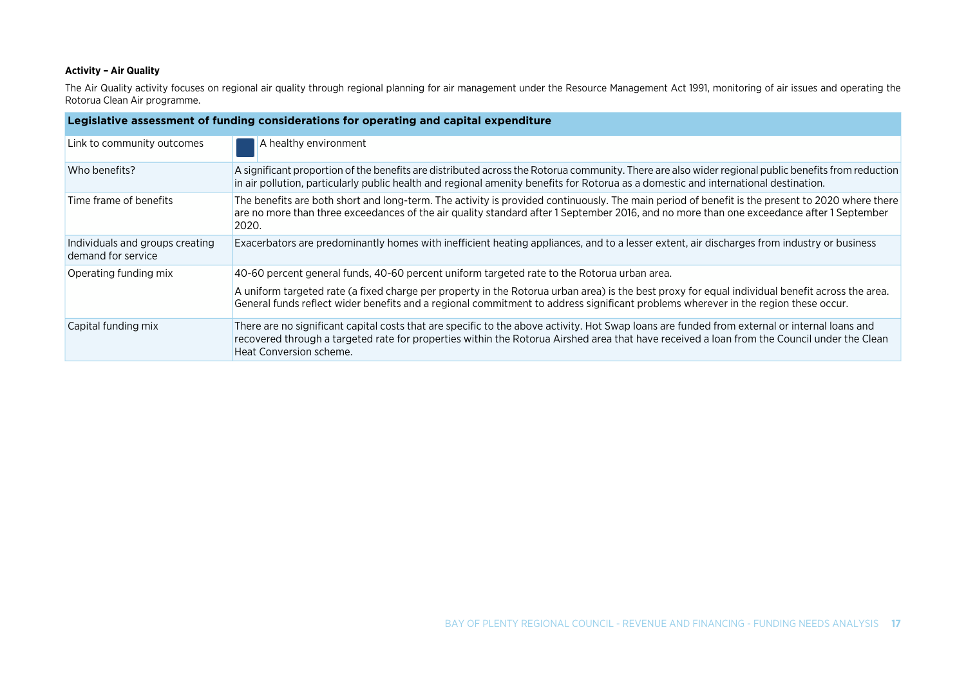#### **Activity – Air Quality**

The Air Quality activity focuses on regional air quality through regional planning for air management under the Resource Management Act 1991, monitoring of air issues and operating the Rotorua Clean Air programme.

| Legislative assessment of funding considerations for operating and capital expenditure |                                                                                                                                                                                                                                                                                                                         |
|----------------------------------------------------------------------------------------|-------------------------------------------------------------------------------------------------------------------------------------------------------------------------------------------------------------------------------------------------------------------------------------------------------------------------|
| Link to community outcomes                                                             | A healthy environment                                                                                                                                                                                                                                                                                                   |
| Who benefits?                                                                          | A significant proportion of the benefits are distributed across the Rotorua community. There are also wider regional public benefits from reduction<br>in air pollution, particularly public health and regional amenity benefits for Rotorua as a domestic and international destination.                              |
| Time frame of benefits                                                                 | The benefits are both short and long-term. The activity is provided continuously. The main period of benefit is the present to 2020 where there<br>are no more than three exceedances of the air quality standard after 1 September 2016, and no more than one exceedance after 1 September<br>2020.                    |
| Individuals and groups creating<br>demand for service                                  | Exacerbators are predominantly homes with inefficient heating appliances, and to a lesser extent, air discharges from industry or business                                                                                                                                                                              |
| Operating funding mix                                                                  | 40-60 percent general funds, 40-60 percent uniform targeted rate to the Rotorua urban area.                                                                                                                                                                                                                             |
|                                                                                        | A uniform targeted rate (a fixed charge per property in the Rotorua urban area) is the best proxy for equal individual benefit across the area.<br>General funds reflect wider benefits and a regional commitment to address significant problems wherever in the region these occur.                                   |
| Capital funding mix                                                                    | There are no significant capital costs that are specific to the above activity. Hot Swap loans are funded from external or internal loans and<br>recovered through a targeted rate for properties within the Rotorua Airshed area that have received a loan from the Council under the Clean<br>Heat Conversion scheme. |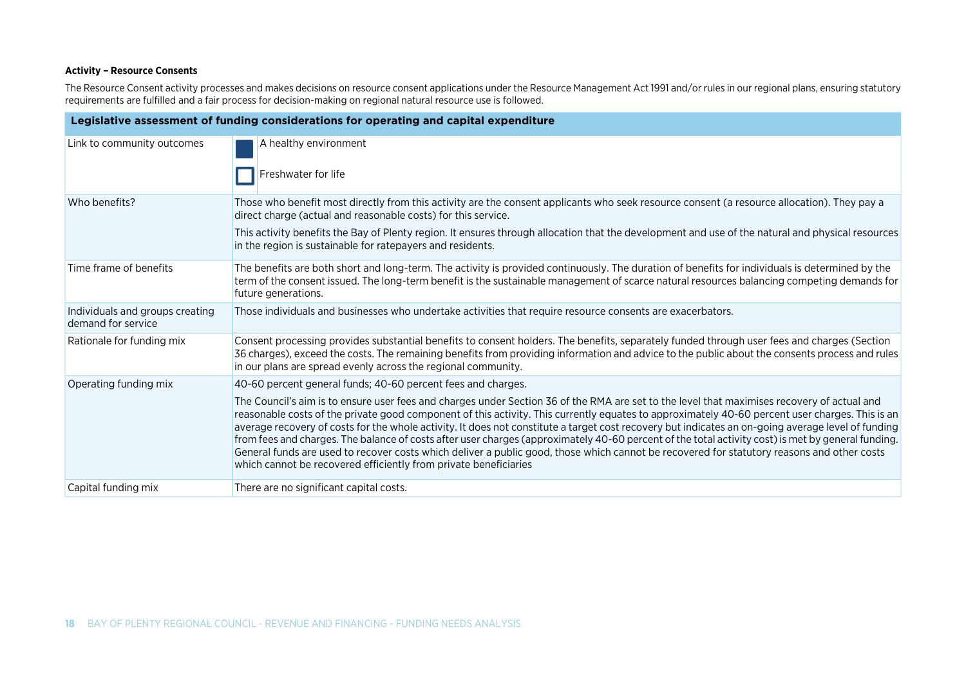#### **Activity – Resource Consents**

The Resource Consent activity processes and makes decisions on resource consent applications under the Resource Management Act 1991 and/or rules in our regional plans, ensuring statutory requirements are fulfilled and a fair process for decision-making on regional natural resource use is followed.

| Legislative assessment of funding considerations for operating and capital expenditure |                                                                                                                                                                                                                                                                                                                                                                                                                                                                                                                                                                                                                                                                                                                                                                                                                              |
|----------------------------------------------------------------------------------------|------------------------------------------------------------------------------------------------------------------------------------------------------------------------------------------------------------------------------------------------------------------------------------------------------------------------------------------------------------------------------------------------------------------------------------------------------------------------------------------------------------------------------------------------------------------------------------------------------------------------------------------------------------------------------------------------------------------------------------------------------------------------------------------------------------------------------|
| Link to community outcomes                                                             | A healthy environment                                                                                                                                                                                                                                                                                                                                                                                                                                                                                                                                                                                                                                                                                                                                                                                                        |
|                                                                                        | Freshwater for life                                                                                                                                                                                                                                                                                                                                                                                                                                                                                                                                                                                                                                                                                                                                                                                                          |
| Who benefits?                                                                          | Those who benefit most directly from this activity are the consent applicants who seek resource consent (a resource allocation). They pay a<br>direct charge (actual and reasonable costs) for this service.                                                                                                                                                                                                                                                                                                                                                                                                                                                                                                                                                                                                                 |
|                                                                                        | This activity benefits the Bay of Plenty region. It ensures through allocation that the development and use of the natural and physical resources<br>in the region is sustainable for ratepayers and residents.                                                                                                                                                                                                                                                                                                                                                                                                                                                                                                                                                                                                              |
| Time frame of benefits                                                                 | The benefits are both short and long-term. The activity is provided continuously. The duration of benefits for individuals is determined by the<br>term of the consent issued. The long-term benefit is the sustainable management of scarce natural resources balancing competing demands for<br>future generations.                                                                                                                                                                                                                                                                                                                                                                                                                                                                                                        |
| Individuals and groups creating<br>demand for service                                  | Those individuals and businesses who undertake activities that require resource consents are exacerbators.                                                                                                                                                                                                                                                                                                                                                                                                                                                                                                                                                                                                                                                                                                                   |
| Rationale for funding mix                                                              | Consent processing provides substantial benefits to consent holders. The benefits, separately funded through user fees and charges (Section<br>36 charges), exceed the costs. The remaining benefits from providing information and advice to the public about the consents process and rules<br>in our plans are spread evenly across the regional community.                                                                                                                                                                                                                                                                                                                                                                                                                                                               |
| Operating funding mix                                                                  | 40-60 percent general funds; 40-60 percent fees and charges.                                                                                                                                                                                                                                                                                                                                                                                                                                                                                                                                                                                                                                                                                                                                                                 |
|                                                                                        | The Council's aim is to ensure user fees and charges under Section 36 of the RMA are set to the level that maximises recovery of actual and<br>reasonable costs of the private good component of this activity. This currently equates to approximately 40-60 percent user charges. This is an<br>average recovery of costs for the whole activity. It does not constitute a target cost recovery but indicates an on-going average level of funding<br>from fees and charges. The balance of costs after user charges (approximately 40-60 percent of the total activity cost) is met by general funding.<br>General funds are used to recover costs which deliver a public good, those which cannot be recovered for statutory reasons and other costs<br>which cannot be recovered efficiently from private beneficiaries |
| Capital funding mix                                                                    | There are no significant capital costs.                                                                                                                                                                                                                                                                                                                                                                                                                                                                                                                                                                                                                                                                                                                                                                                      |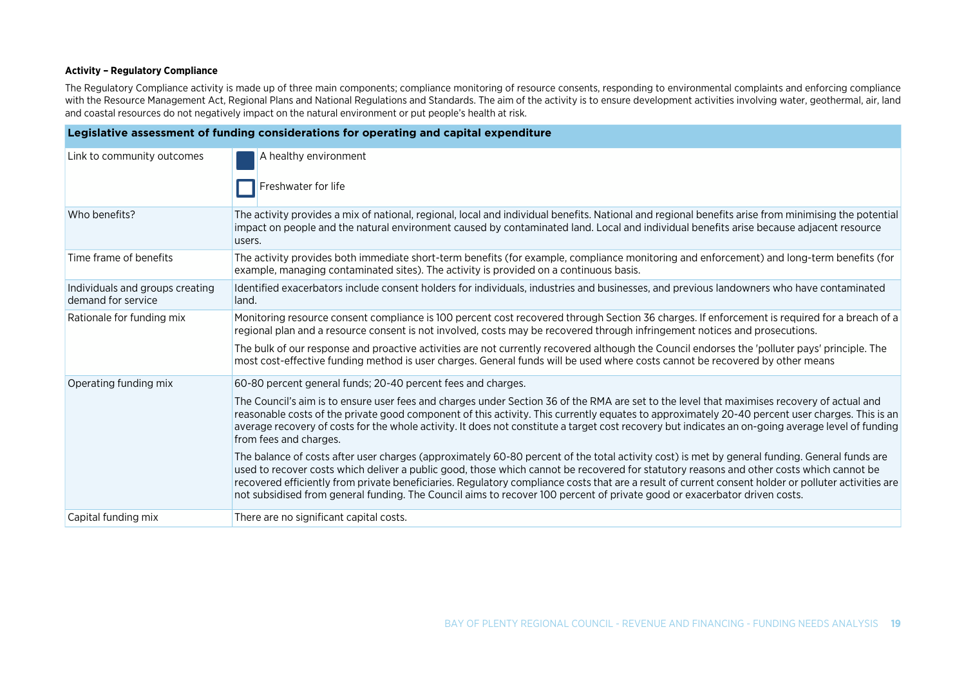#### **Activity – Regulatory Compliance**

The Regulatory Compliance activity is made up of three main components; compliance monitoring of resource consents, responding to environmental complaints and enforcing compliance with the Resource Management Act, Regional Plans and National Regulations and Standards. The aim of the activity is to ensure development activities involving water, geothermal, air, land and coastal resources do not negatively impact on the natural environment or put people's health at risk.

| Legislative assessment of funding considerations for operating and capital expenditure |                                                                                                                                                                                                                                                                                                                                                                                                                                                                                                                                                                                |
|----------------------------------------------------------------------------------------|--------------------------------------------------------------------------------------------------------------------------------------------------------------------------------------------------------------------------------------------------------------------------------------------------------------------------------------------------------------------------------------------------------------------------------------------------------------------------------------------------------------------------------------------------------------------------------|
| Link to community outcomes                                                             | A healthy environment<br>Freshwater for life                                                                                                                                                                                                                                                                                                                                                                                                                                                                                                                                   |
|                                                                                        |                                                                                                                                                                                                                                                                                                                                                                                                                                                                                                                                                                                |
| Who benefits?                                                                          | The activity provides a mix of national, regional, local and individual benefits. National and regional benefits arise from minimising the potential<br>impact on people and the natural environment caused by contaminated land. Local and individual benefits arise because adjacent resource<br>users.                                                                                                                                                                                                                                                                      |
| Time frame of benefits                                                                 | The activity provides both immediate short-term benefits (for example, compliance monitoring and enforcement) and long-term benefits (for<br>example, managing contaminated sites). The activity is provided on a continuous basis.                                                                                                                                                                                                                                                                                                                                            |
| Individuals and groups creating<br>demand for service                                  | Identified exacerbators include consent holders for individuals, industries and businesses, and previous landowners who have contaminated<br>land.                                                                                                                                                                                                                                                                                                                                                                                                                             |
| Rationale for funding mix                                                              | Monitoring resource consent compliance is 100 percent cost recovered through Section 36 charges. If enforcement is required for a breach of a<br>regional plan and a resource consent is not involved, costs may be recovered through infringement notices and prosecutions.                                                                                                                                                                                                                                                                                                   |
|                                                                                        | The bulk of our response and proactive activities are not currently recovered although the Council endorses the 'polluter pays' principle. The<br>most cost-effective funding method is user charges. General funds will be used where costs cannot be recovered by other means                                                                                                                                                                                                                                                                                                |
| Operating funding mix                                                                  | 60-80 percent general funds; 20-40 percent fees and charges.                                                                                                                                                                                                                                                                                                                                                                                                                                                                                                                   |
|                                                                                        | The Council's aim is to ensure user fees and charges under Section 36 of the RMA are set to the level that maximises recovery of actual and<br>reasonable costs of the private good component of this activity. This currently equates to approximately 20-40 percent user charges. This is an<br>average recovery of costs for the whole activity. It does not constitute a target cost recovery but indicates an on-going average level of funding<br>from fees and charges.                                                                                                 |
|                                                                                        | The balance of costs after user charges (approximately 60-80 percent of the total activity cost) is met by general funding. General funds are<br>used to recover costs which deliver a public good, those which cannot be recovered for statutory reasons and other costs which cannot be<br>recovered efficiently from private beneficiaries. Regulatory compliance costs that are a result of current consent holder or polluter activities are<br>not subsidised from general funding. The Council aims to recover 100 percent of private good or exacerbator driven costs. |
| Capital funding mix                                                                    | There are no significant capital costs.                                                                                                                                                                                                                                                                                                                                                                                                                                                                                                                                        |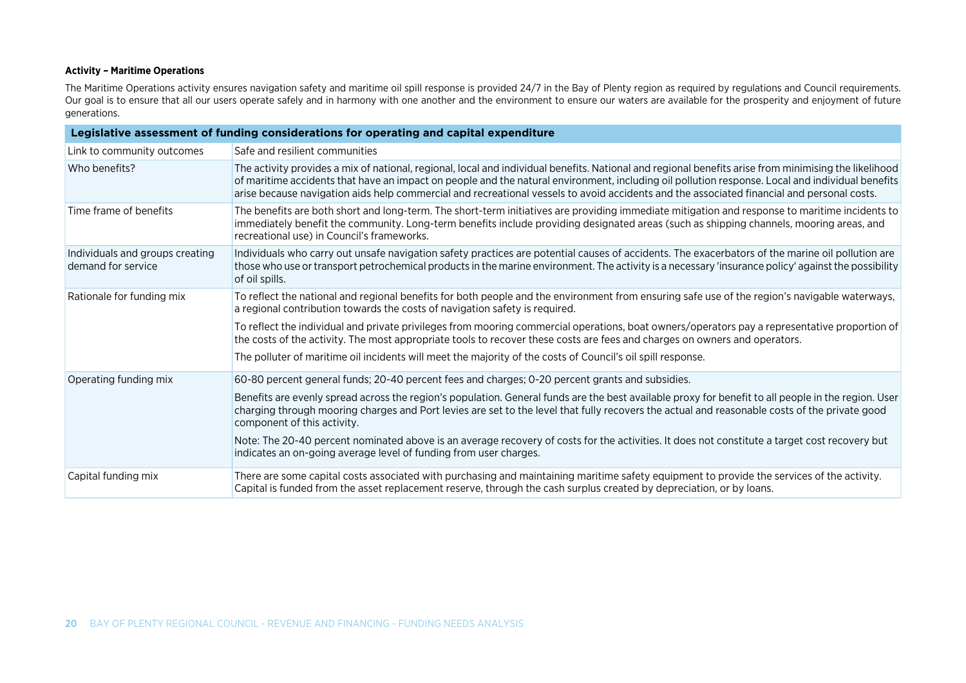#### **Activity – Maritime Operations**

The Maritime Operations activity ensures navigation safety and maritime oil spill response is provided 24/7 in the Bay of Plenty region as required by regulations and Council requirements. Our goal is to ensure that all our users operate safely and in harmony with one another and the environment to ensure our waters are available for the prosperity and enjoyment of future generations.

| Legislative assessment of funding considerations for operating and capital expenditure |                                                                                                                                                                                                                                                                                                                                                                                                                                                         |
|----------------------------------------------------------------------------------------|---------------------------------------------------------------------------------------------------------------------------------------------------------------------------------------------------------------------------------------------------------------------------------------------------------------------------------------------------------------------------------------------------------------------------------------------------------|
| Link to community outcomes                                                             | Safe and resilient communities                                                                                                                                                                                                                                                                                                                                                                                                                          |
| Who benefits?                                                                          | The activity provides a mix of national, regional, local and individual benefits. National and regional benefits arise from minimising the likelihood<br>of maritime accidents that have an impact on people and the natural environment, including oil pollution response. Local and individual benefits<br>arise because navigation aids help commercial and recreational vessels to avoid accidents and the associated financial and personal costs. |
| Time frame of benefits                                                                 | The benefits are both short and long-term. The short-term initiatives are providing immediate mitigation and response to maritime incidents to<br>immediately benefit the community. Long-term benefits include providing designated areas (such as shipping channels, mooring areas, and<br>recreational use) in Council's frameworks.                                                                                                                 |
| Individuals and groups creating<br>demand for service                                  | Individuals who carry out unsafe navigation safety practices are potential causes of accidents. The exacerbators of the marine oil pollution are<br>those who use or transport petrochemical products in the marine environment. The activity is a necessary 'insurance policy' against the possibility<br>of oil spills.                                                                                                                               |
| Rationale for funding mix                                                              | To reflect the national and regional benefits for both people and the environment from ensuring safe use of the region's navigable waterways,<br>a regional contribution towards the costs of navigation safety is required.                                                                                                                                                                                                                            |
|                                                                                        | To reflect the individual and private privileges from mooring commercial operations, boat owners/operators pay a representative proportion of<br>the costs of the activity. The most appropriate tools to recover these costs are fees and charges on owners and operators.                                                                                                                                                                             |
|                                                                                        | The polluter of maritime oil incidents will meet the majority of the costs of Council's oil spill response.                                                                                                                                                                                                                                                                                                                                             |
| Operating funding mix                                                                  | 60-80 percent general funds; 20-40 percent fees and charges; 0-20 percent grants and subsidies.                                                                                                                                                                                                                                                                                                                                                         |
|                                                                                        | Benefits are evenly spread across the region's population. General funds are the best available proxy for benefit to all people in the region. User<br>charging through mooring charges and Port levies are set to the level that fully recovers the actual and reasonable costs of the private good<br>component of this activity.                                                                                                                     |
|                                                                                        | Note: The 20-40 percent nominated above is an average recovery of costs for the activities. It does not constitute a target cost recovery but<br>indicates an on-going average level of funding from user charges.                                                                                                                                                                                                                                      |
| Capital funding mix                                                                    | There are some capital costs associated with purchasing and maintaining maritime safety equipment to provide the services of the activity.<br>Capital is funded from the asset replacement reserve, through the cash surplus created by depreciation, or by loans.                                                                                                                                                                                      |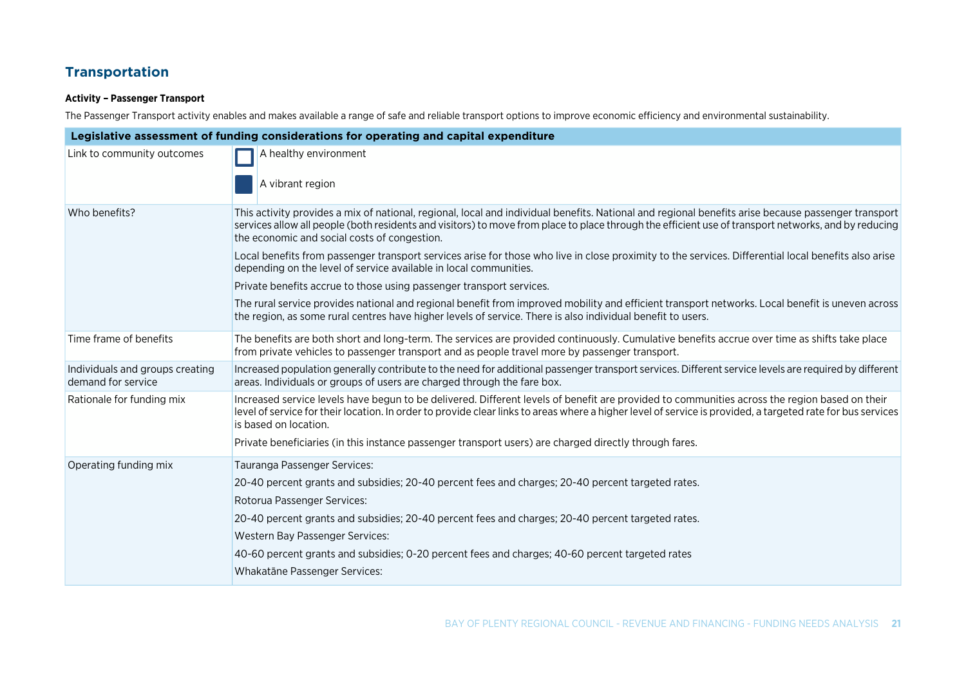### **Transportation**

#### **Activity – Passenger Transport**

The Passenger Transport activity enables and makes available a range of safe and reliable transport options to improve economic efficiency and environmental sustainability.

| Legislative assessment of funding considerations for operating and capital expenditure |                                                                                                                                                                                                                                                                                                                                                             |
|----------------------------------------------------------------------------------------|-------------------------------------------------------------------------------------------------------------------------------------------------------------------------------------------------------------------------------------------------------------------------------------------------------------------------------------------------------------|
| Link to community outcomes                                                             | A healthy environment                                                                                                                                                                                                                                                                                                                                       |
|                                                                                        | A vibrant region                                                                                                                                                                                                                                                                                                                                            |
| Who benefits?                                                                          | This activity provides a mix of national, regional, local and individual benefits. National and regional benefits arise because passenger transport<br>services allow all people (both residents and visitors) to move from place to place through the efficient use of transport networks, and by reducing<br>the economic and social costs of congestion. |
|                                                                                        | Local benefits from passenger transport services arise for those who live in close proximity to the services. Differential local benefits also arise<br>depending on the level of service available in local communities.                                                                                                                                   |
|                                                                                        | Private benefits accrue to those using passenger transport services.                                                                                                                                                                                                                                                                                        |
|                                                                                        | The rural service provides national and regional benefit from improved mobility and efficient transport networks. Local benefit is uneven across<br>the region, as some rural centres have higher levels of service. There is also individual benefit to users.                                                                                             |
| Time frame of benefits                                                                 | The benefits are both short and long-term. The services are provided continuously. Cumulative benefits accrue over time as shifts take place<br>from private vehicles to passenger transport and as people travel more by passenger transport.                                                                                                              |
| Individuals and groups creating<br>demand for service                                  | Increased population generally contribute to the need for additional passenger transport services. Different service levels are required by different<br>areas. Individuals or groups of users are charged through the fare box.                                                                                                                            |
| Rationale for funding mix                                                              | Increased service levels have begun to be delivered. Different levels of benefit are provided to communities across the region based on their<br>level of service for their location. In order to provide clear links to areas where a higher level of service is provided, a targeted rate for bus services<br>is based on location.                       |
|                                                                                        | Private beneficiaries (in this instance passenger transport users) are charged directly through fares.                                                                                                                                                                                                                                                      |
| Operating funding mix                                                                  | Tauranga Passenger Services:                                                                                                                                                                                                                                                                                                                                |
|                                                                                        | 20-40 percent grants and subsidies; 20-40 percent fees and charges; 20-40 percent targeted rates.                                                                                                                                                                                                                                                           |
|                                                                                        | Rotorua Passenger Services:                                                                                                                                                                                                                                                                                                                                 |
|                                                                                        | 20-40 percent grants and subsidies; 20-40 percent fees and charges; 20-40 percent targeted rates.                                                                                                                                                                                                                                                           |
|                                                                                        | Western Bay Passenger Services:                                                                                                                                                                                                                                                                                                                             |
|                                                                                        | 40-60 percent grants and subsidies; 0-20 percent fees and charges; 40-60 percent targeted rates                                                                                                                                                                                                                                                             |
|                                                                                        | Whakatāne Passenger Services:                                                                                                                                                                                                                                                                                                                               |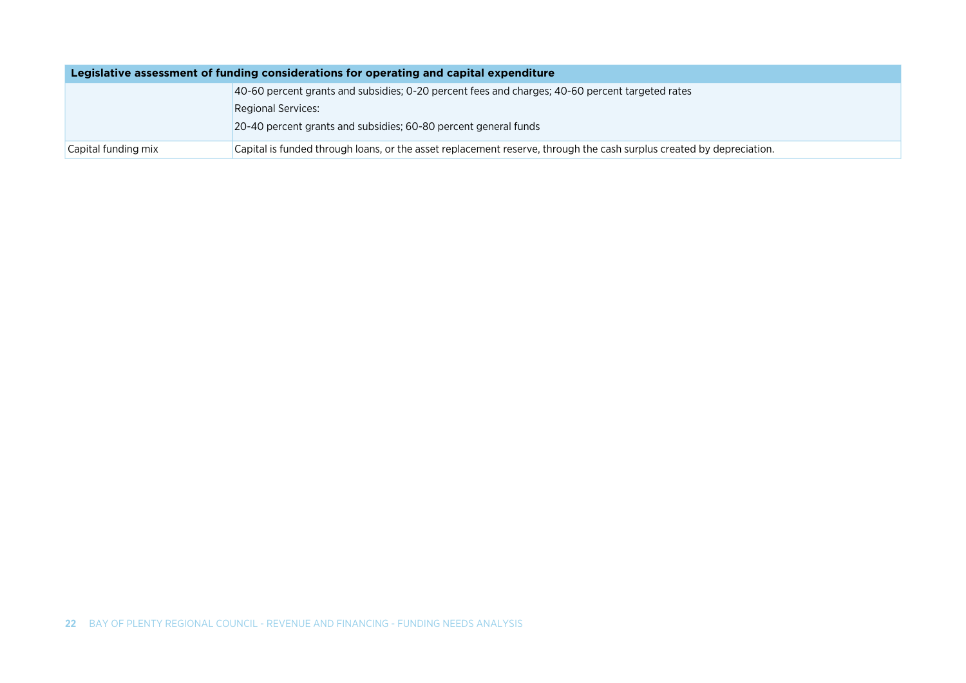| Legislative assessment of funding considerations for operating and capital expenditure |                                                                                                                      |
|----------------------------------------------------------------------------------------|----------------------------------------------------------------------------------------------------------------------|
|                                                                                        | 40-60 percent grants and subsidies; 0-20 percent fees and charges; 40-60 percent targeted rates                      |
|                                                                                        | <b>Regional Services:</b>                                                                                            |
|                                                                                        | 20-40 percent grants and subsidies; 60-80 percent general funds                                                      |
| Capital funding mix                                                                    | Capital is funded through loans, or the asset replacement reserve, through the cash surplus created by depreciation. |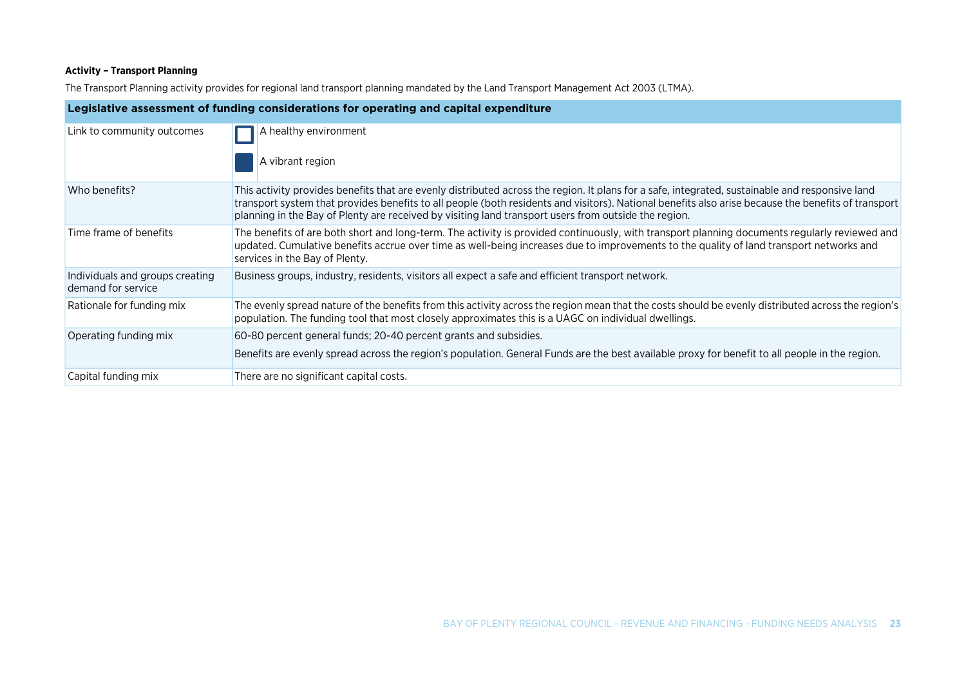#### **Activity – Transport Planning**

The Transport Planning activity provides for regional land transport planning mandated by the Land Transport Management Act 2003 (LTMA).

| Legislative assessment of funding considerations for operating and capital expenditure |                                                                                                                                                                                                                                                                                                                                                                                                                |
|----------------------------------------------------------------------------------------|----------------------------------------------------------------------------------------------------------------------------------------------------------------------------------------------------------------------------------------------------------------------------------------------------------------------------------------------------------------------------------------------------------------|
| Link to community outcomes                                                             | A healthy environment<br>A vibrant region                                                                                                                                                                                                                                                                                                                                                                      |
|                                                                                        |                                                                                                                                                                                                                                                                                                                                                                                                                |
| Who benefits?                                                                          | This activity provides benefits that are evenly distributed across the region. It plans for a safe, integrated, sustainable and responsive land<br>transport system that provides benefits to all people (both residents and visitors). National benefits also arise because the benefits of transport<br>planning in the Bay of Plenty are received by visiting land transport users from outside the region. |
| Time frame of benefits                                                                 | The benefits of are both short and long-term. The activity is provided continuously, with transport planning documents regularly reviewed and<br>updated. Cumulative benefits accrue over time as well-being increases due to improvements to the quality of land transport networks and<br>services in the Bay of Plenty.                                                                                     |
| Individuals and groups creating<br>demand for service                                  | Business groups, industry, residents, visitors all expect a safe and efficient transport network.                                                                                                                                                                                                                                                                                                              |
| Rationale for funding mix                                                              | The evenly spread nature of the benefits from this activity across the region mean that the costs should be evenly distributed across the region's<br>population. The funding tool that most closely approximates this is a UAGC on individual dwellings.                                                                                                                                                      |
| Operating funding mix                                                                  | 60-80 percent general funds; 20-40 percent grants and subsidies.                                                                                                                                                                                                                                                                                                                                               |
|                                                                                        | Benefits are evenly spread across the region's population. General Funds are the best available proxy for benefit to all people in the region.                                                                                                                                                                                                                                                                 |
| Capital funding mix                                                                    | There are no significant capital costs.                                                                                                                                                                                                                                                                                                                                                                        |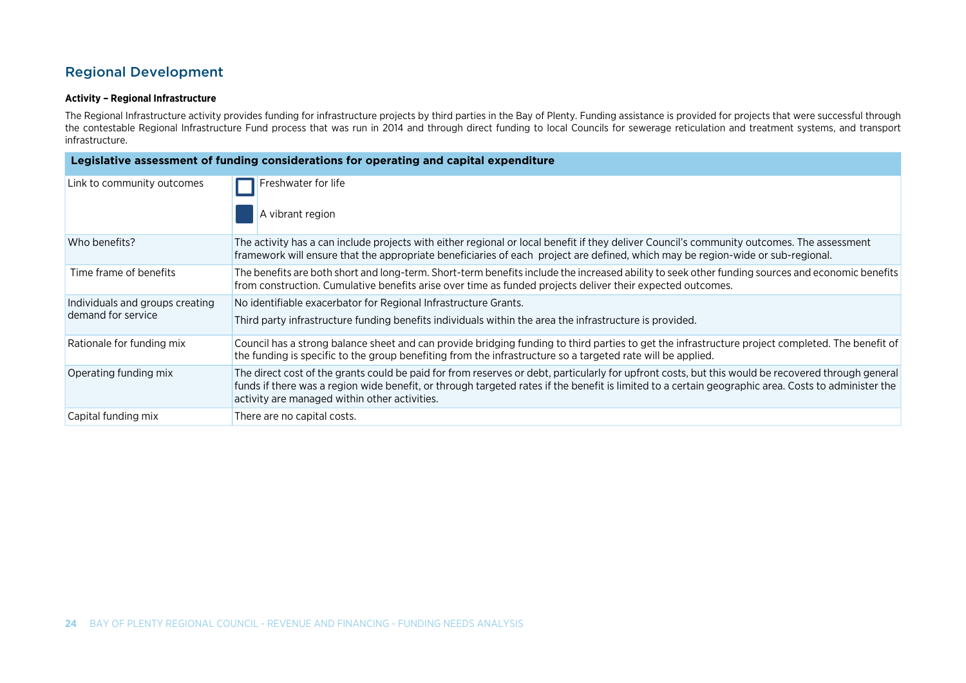### Regional Development

#### **Activity – Regional Infrastructure**

The Regional Infrastructure activity provides funding for infrastructure projects by third parties in the Bay of Plenty. Funding assistance is provided for projects that were successful through the contestable Regional Infrastructure Fund process that was run in 2014 and through direct funding to local Councils for sewerage reticulation and treatment systems, and transport infrastructure.

| Legislative assessment of funding considerations for operating and capital expenditure |                                                                                                                                                                                                                                                                                                                                                            |
|----------------------------------------------------------------------------------------|------------------------------------------------------------------------------------------------------------------------------------------------------------------------------------------------------------------------------------------------------------------------------------------------------------------------------------------------------------|
| Link to community outcomes                                                             | Freshwater for life<br>A vibrant region                                                                                                                                                                                                                                                                                                                    |
| Who benefits?                                                                          | The activity has a can include projects with either regional or local benefit if they deliver Council's community outcomes. The assessment<br>framework will ensure that the appropriate beneficiaries of each project are defined, which may be region-wide or sub-regional.                                                                              |
| Time frame of benefits                                                                 | The benefits are both short and long-term. Short-term benefits include the increased ability to seek other funding sources and economic benefits<br>from construction. Cumulative benefits arise over time as funded projects deliver their expected outcomes.                                                                                             |
| Individuals and groups creating                                                        | No identifiable exacerbator for Regional Infrastructure Grants.                                                                                                                                                                                                                                                                                            |
| demand for service                                                                     | Third party infrastructure funding benefits individuals within the area the infrastructure is provided.                                                                                                                                                                                                                                                    |
| Rationale for funding mix                                                              | Council has a strong balance sheet and can provide bridging funding to third parties to get the infrastructure project completed. The benefit of<br>the funding is specific to the group benefiting from the infrastructure so a targeted rate will be applied.                                                                                            |
| Operating funding mix                                                                  | The direct cost of the grants could be paid for from reserves or debt, particularly for upfront costs, but this would be recovered through general<br>funds if there was a region wide benefit, or through targeted rates if the benefit is limited to a certain geographic area. Costs to administer the<br>activity are managed within other activities. |
| Capital funding mix                                                                    | There are no capital costs.                                                                                                                                                                                                                                                                                                                                |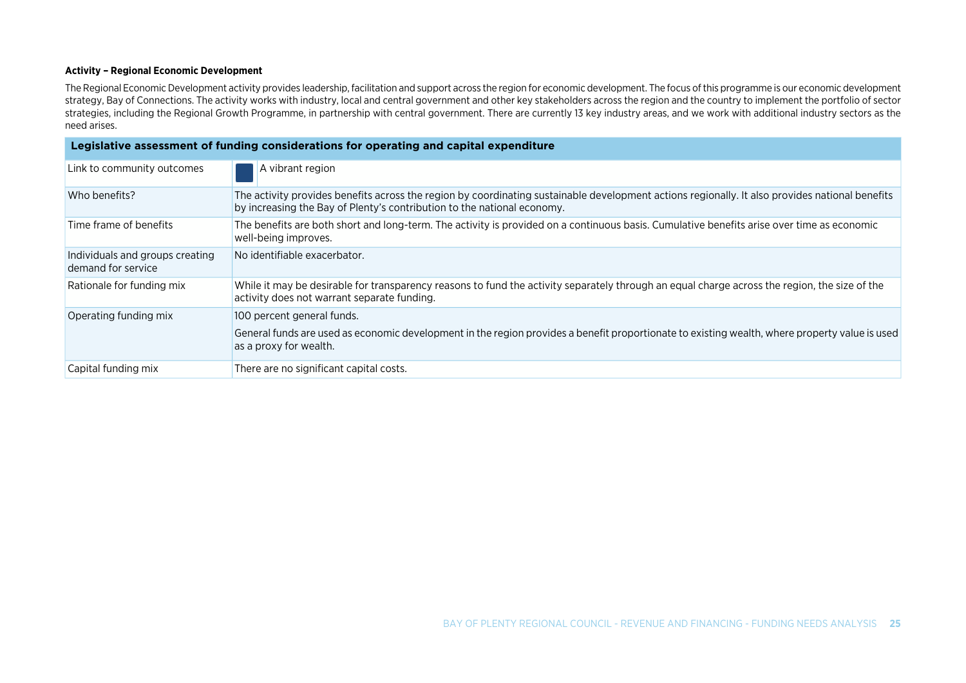#### **Activity – Regional Economic Development**

The Regional Economic Development activity provides leadership, facilitation and support across the region for economic development. The focus of this programme is our economic development strategy, Bay of Connections. The activity works with industry, local and central government and other key stakeholders across the region and the country to implement the portfolio of sector strategies, including the Regional Growth Programme, in partnership with central government. There are currently 13 key industry areas, and we work with additional industry sectors as the need arises.

| Legislative assessment of funding considerations for operating and capital expenditure |                                                                                                                                                                                                                            |  |
|----------------------------------------------------------------------------------------|----------------------------------------------------------------------------------------------------------------------------------------------------------------------------------------------------------------------------|--|
| Link to community outcomes                                                             | A vibrant region                                                                                                                                                                                                           |  |
| Who benefits?                                                                          | The activity provides benefits across the region by coordinating sustainable development actions regionally. It also provides national benefits<br>by increasing the Bay of Plenty's contribution to the national economy. |  |
| Time frame of benefits                                                                 | The benefits are both short and long-term. The activity is provided on a continuous basis. Cumulative benefits arise over time as economic<br>well-being improves.                                                         |  |
| Individuals and groups creating<br>demand for service                                  | No identifiable exacerbator.                                                                                                                                                                                               |  |
| Rationale for funding mix                                                              | While it may be desirable for transparency reasons to fund the activity separately through an equal charge across the region, the size of the<br>activity does not warrant separate funding.                               |  |
| Operating funding mix                                                                  | 100 percent general funds.<br>General funds are used as economic development in the region provides a benefit proportionate to existing wealth, where property value is used<br>as a proxy for wealth.                     |  |
| Capital funding mix                                                                    | There are no significant capital costs.                                                                                                                                                                                    |  |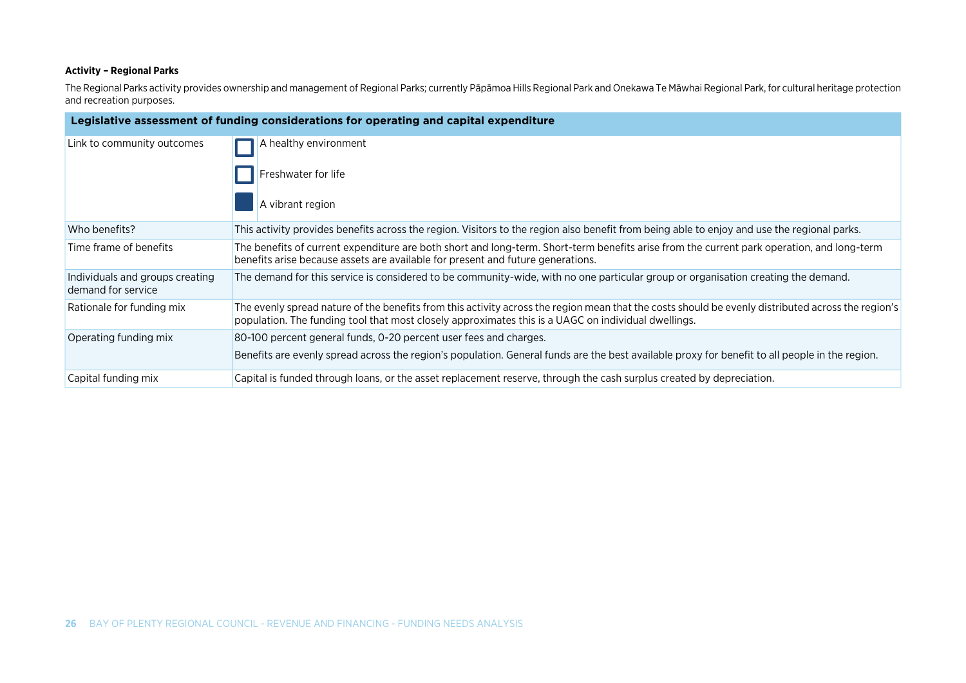#### **Activity – Regional Parks**

The Regional Parks activity provides ownership and management of Regional Parks; currently Pāpāmoa Hills Regional Park and Onekawa Te Māwhai Regional Park, for cultural heritage protection and recreation purposes.

| Legislative assessment of funding considerations for operating and capital expenditure |                                                                                                                                                                                                                                                             |  |
|----------------------------------------------------------------------------------------|-------------------------------------------------------------------------------------------------------------------------------------------------------------------------------------------------------------------------------------------------------------|--|
| Link to community outcomes                                                             | A healthy environment                                                                                                                                                                                                                                       |  |
|                                                                                        | Freshwater for life                                                                                                                                                                                                                                         |  |
|                                                                                        | A vibrant region                                                                                                                                                                                                                                            |  |
| Who benefits?                                                                          | This activity provides benefits across the region. Visitors to the region also benefit from being able to enjoy and use the regional parks.                                                                                                                 |  |
| Time frame of benefits                                                                 | The benefits of current expenditure are both short and long-term. Short-term benefits arise from the current park operation, and long-term<br>benefits arise because assets are available for present and future generations.                               |  |
| Individuals and groups creating<br>demand for service                                  | The demand for this service is considered to be community-wide, with no one particular group or organisation creating the demand.                                                                                                                           |  |
| Rationale for funding mix                                                              | The evenly spread nature of the benefits from this activity across the region mean that the costs should be evenly distributed across the region's  <br>population. The funding tool that most closely approximates this is a UAGC on individual dwellings. |  |
| Operating funding mix                                                                  | 80-100 percent general funds, 0-20 percent user fees and charges.                                                                                                                                                                                           |  |
|                                                                                        | Benefits are evenly spread across the region's population. General funds are the best available proxy for benefit to all people in the region.                                                                                                              |  |
| Capital funding mix                                                                    | Capital is funded through loans, or the asset replacement reserve, through the cash surplus created by depreciation.                                                                                                                                        |  |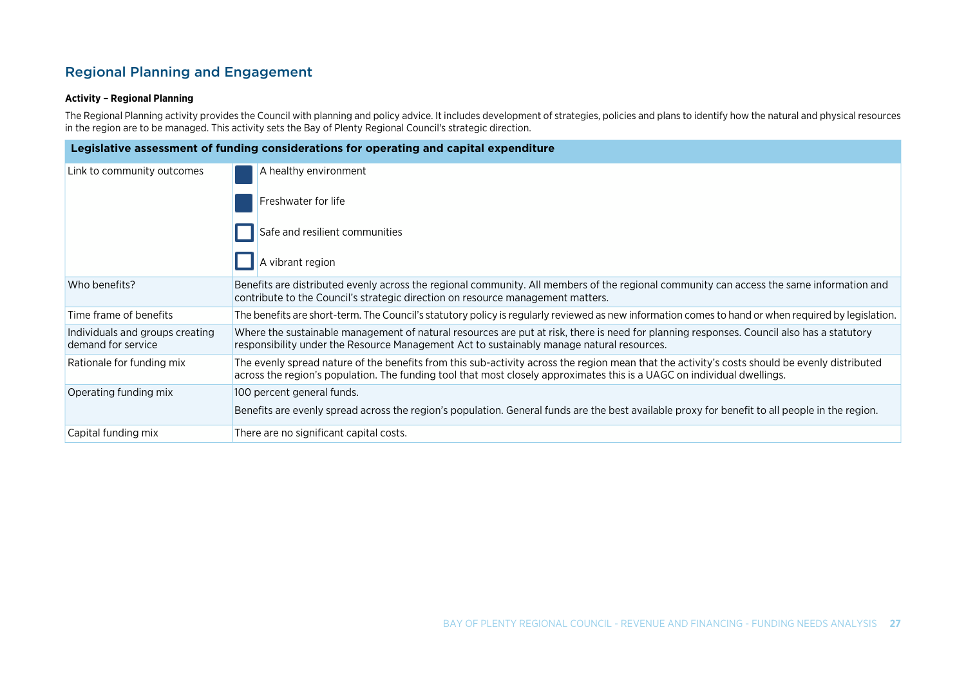### Regional Planning and Engagement

#### **Activity – Regional Planning**

The Regional Planning activity provides the Council with planning and policy advice. It includes development of strategies, policies and plans to identify how the natural and physical resources in the region are to be managed. This activity sets the Bay of Plenty Regional Council's strategic direction.

| Legislative assessment of funding considerations for operating and capital expenditure |                                                                                                                                                                                                                                                                          |  |
|----------------------------------------------------------------------------------------|--------------------------------------------------------------------------------------------------------------------------------------------------------------------------------------------------------------------------------------------------------------------------|--|
| Link to community outcomes                                                             | A healthy environment                                                                                                                                                                                                                                                    |  |
|                                                                                        | Freshwater for life                                                                                                                                                                                                                                                      |  |
|                                                                                        | Safe and resilient communities                                                                                                                                                                                                                                           |  |
|                                                                                        | A vibrant region                                                                                                                                                                                                                                                         |  |
| Who benefits?                                                                          | Benefits are distributed evenly across the regional community. All members of the regional community can access the same information and<br>contribute to the Council's strategic direction on resource management matters.                                              |  |
| Time frame of benefits                                                                 | The benefits are short-term. The Council's statutory policy is regularly reviewed as new information comes to hand or when required by legislation.                                                                                                                      |  |
| Individuals and groups creating<br>demand for service                                  | Where the sustainable management of natural resources are put at risk, there is need for planning responses. Council also has a statutory<br>responsibility under the Resource Management Act to sustainably manage natural resources.                                   |  |
| Rationale for funding mix                                                              | The evenly spread nature of the benefits from this sub-activity across the region mean that the activity's costs should be evenly distributed<br>across the region's population. The funding tool that most closely approximates this is a UAGC on individual dwellings. |  |
| Operating funding mix                                                                  | 100 percent general funds.                                                                                                                                                                                                                                               |  |
|                                                                                        | Benefits are evenly spread across the region's population. General funds are the best available proxy for benefit to all people in the region.                                                                                                                           |  |
| Capital funding mix                                                                    | There are no significant capital costs.                                                                                                                                                                                                                                  |  |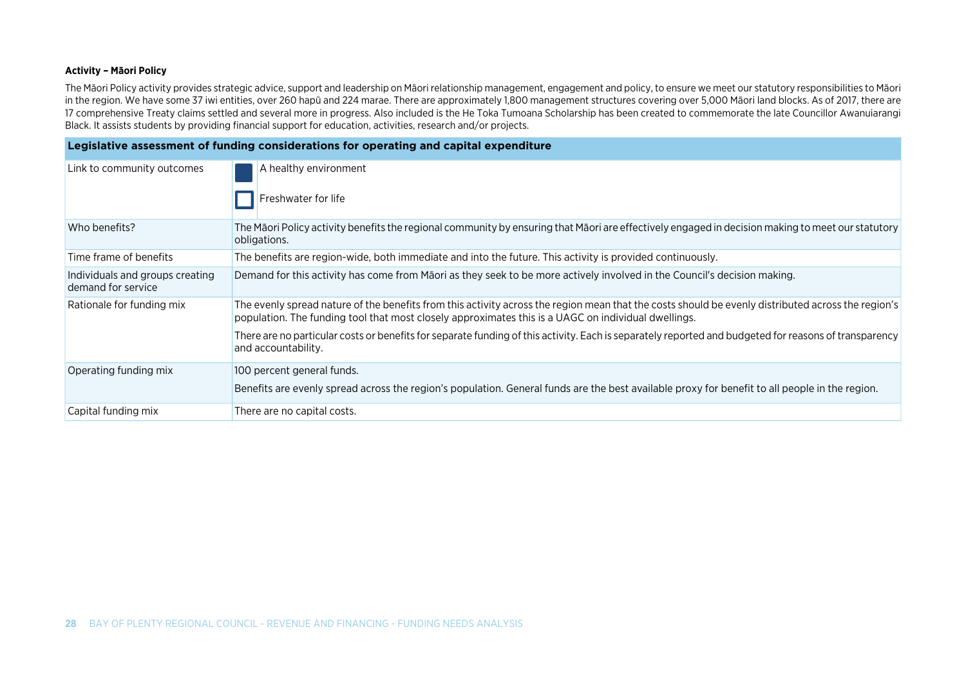#### **Activity – Māori Policy**

The Māori Policy activity provides strategic advice, support and leadership on Māori relationship management, engagement and policy, to ensure we meet our statutory responsibilities to Māori in the region. We have some 37 iwi entities, over 260 hapū and 224 marae. There are approximately 1,800 management structures covering over 5,000 Māori land blocks. As of 2017, there are 17 comprehensive Treaty claims settled and several more in progress. Also included is the He Toka Tumoana Scholarship has been created to commemorate the late Councillor Awanuiarangi Black. It assists students by providing financial support for education, activities, research and/or projects.

| Legislative assessment of funding considerations for operating and capital expenditure |                                                                                                                                                                                                                                                           |  |
|----------------------------------------------------------------------------------------|-----------------------------------------------------------------------------------------------------------------------------------------------------------------------------------------------------------------------------------------------------------|--|
| Link to community outcomes                                                             | A healthy environment<br>Freshwater for life                                                                                                                                                                                                              |  |
| Who benefits?                                                                          | The Māori Policy activity benefits the regional community by ensuring that Māori are effectively engaged in decision making to meet our statutory<br>obligations.                                                                                         |  |
| Time frame of benefits                                                                 | The benefits are region-wide, both immediate and into the future. This activity is provided continuously.                                                                                                                                                 |  |
| Individuals and groups creating<br>demand for service                                  | Demand for this activity has come from Māori as they seek to be more actively involved in the Council's decision making.                                                                                                                                  |  |
| Rationale for funding mix                                                              | The evenly spread nature of the benefits from this activity across the region mean that the costs should be evenly distributed across the region's<br>population. The funding tool that most closely approximates this is a UAGC on individual dwellings. |  |
|                                                                                        | There are no particular costs or benefits for separate funding of this activity. Each is separately reported and budgeted for reasons of transparency<br>and accountability.                                                                              |  |
| Operating funding mix                                                                  | 100 percent general funds.                                                                                                                                                                                                                                |  |
|                                                                                        | Benefits are evenly spread across the region's population. General funds are the best available proxy for benefit to all people in the region.                                                                                                            |  |
| Capital funding mix                                                                    | There are no capital costs.                                                                                                                                                                                                                               |  |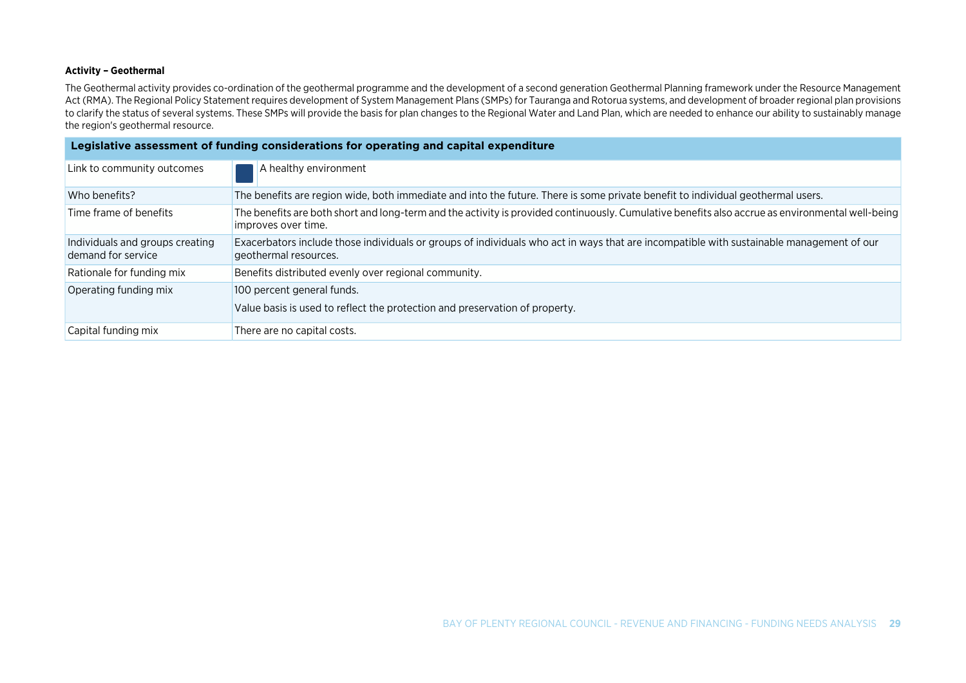#### **Activity – Geothermal**

The Geothermal activity provides co-ordination of the geothermal programme and the development of a second generation Geothermal Planning framework under the Resource Management Act (RMA). The Regional Policy Statement requires development of System Management Plans (SMPs) for Tauranga and Rotorua systems, and development of broader regional plan provisions to clarify the status of several systems. These SMPs will provide the basis for plan changes to the Regional Water and Land Plan, which are needed to enhance our ability to sustainably manage the region's geothermal resource.

| Legislative assessment of funding considerations for operating and capital expenditure |                                                                                                                                                                         |  |
|----------------------------------------------------------------------------------------|-------------------------------------------------------------------------------------------------------------------------------------------------------------------------|--|
| Link to community outcomes                                                             | A healthy environment                                                                                                                                                   |  |
| Who benefits?                                                                          | The benefits are region wide, both immediate and into the future. There is some private benefit to individual geothermal users.                                         |  |
| Time frame of benefits                                                                 | The benefits are both short and long-term and the activity is provided continuously. Cumulative benefits also accrue as environmental well-being<br>improves over time. |  |
| Individuals and groups creating<br>demand for service                                  | Exacerbators include those individuals or groups of individuals who act in ways that are incompatible with sustainable management of our<br>geothermal resources.       |  |
| Rationale for funding mix                                                              | Benefits distributed evenly over regional community.                                                                                                                    |  |
| Operating funding mix                                                                  | 100 percent general funds.                                                                                                                                              |  |
|                                                                                        | Value basis is used to reflect the protection and preservation of property.                                                                                             |  |
| Capital funding mix                                                                    | There are no capital costs.                                                                                                                                             |  |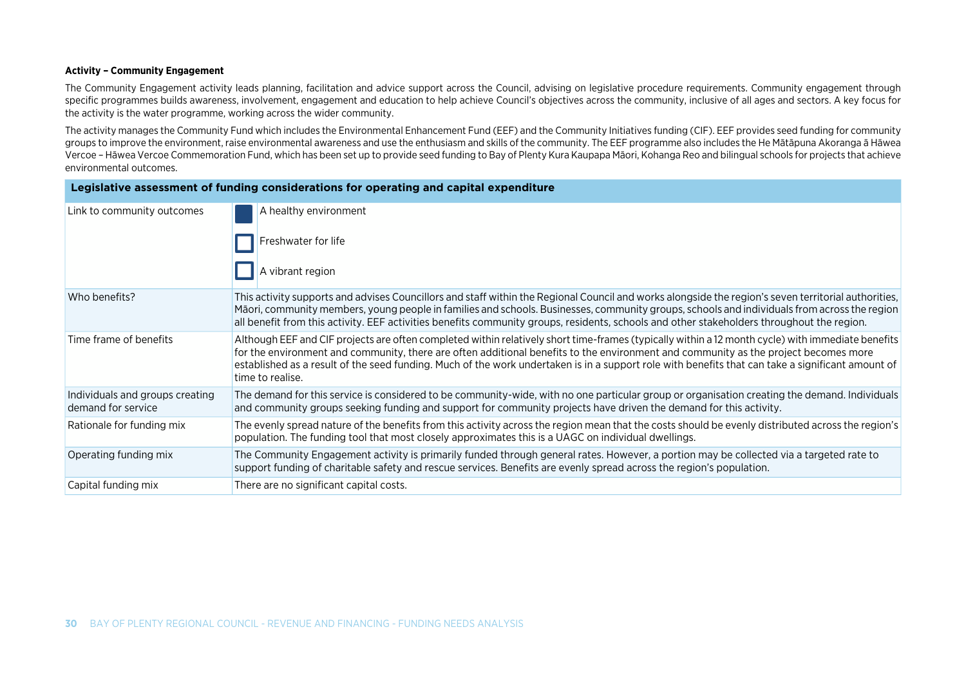#### **Activity – Community Engagement**

The Community Engagement activity leads planning, facilitation and advice support across the Council, advising on legislative procedure requirements. Community engagement through specific programmes builds awareness, involvement, engagement and education to help achieve Council's objectives across the community, inclusive of all ages and sectors. A key focus for the activity is the water programme, working across the wider community.

The activity manages the Community Fund which includes the Environmental Enhancement Fund (EEF) and the Community Initiatives funding (CIF). EEF provides seed funding for community groups to improve the environment, raise environmental awareness and use the enthusiasm and skills of the community. The EEF programme also includes the He Mātāpuna Akoranga ā Hāwea Vercoe – Hāwea Vercoe Commemoration Fund, which has been set up to provide seed funding to Bay of Plenty Kura Kaupapa Māori, Kohanga Reo and bilingual schools for projects that achieve environmental outcomes.

| Legislative assessment of funding considerations for operating and capital expenditure |                                                                                                                                                                                                                                                                                                                                                                                                                                                                   |  |
|----------------------------------------------------------------------------------------|-------------------------------------------------------------------------------------------------------------------------------------------------------------------------------------------------------------------------------------------------------------------------------------------------------------------------------------------------------------------------------------------------------------------------------------------------------------------|--|
| Link to community outcomes                                                             | A healthy environment                                                                                                                                                                                                                                                                                                                                                                                                                                             |  |
|                                                                                        | Freshwater for life                                                                                                                                                                                                                                                                                                                                                                                                                                               |  |
|                                                                                        | A vibrant region                                                                                                                                                                                                                                                                                                                                                                                                                                                  |  |
| Who benefits?                                                                          | This activity supports and advises Councillors and staff within the Regional Council and works alongside the region's seven territorial authorities,<br>Māori, community members, young people in families and schools. Businesses, community groups, schools and individuals from across the region<br>all benefit from this activity. EEF activities benefits community groups, residents, schools and other stakeholders throughout the region.                |  |
| Time frame of benefits                                                                 | Although EEF and CIF projects are often completed within relatively short time-frames (typically within a 12 month cycle) with immediate benefits<br>for the environment and community, there are often additional benefits to the environment and community as the project becomes more<br>established as a result of the seed funding. Much of the work undertaken is in a support role with benefits that can take a significant amount of<br>time to realise. |  |
| Individuals and groups creating<br>demand for service                                  | The demand for this service is considered to be community-wide, with no one particular group or organisation creating the demand. Individuals<br>and community groups seeking funding and support for community projects have driven the demand for this activity.                                                                                                                                                                                                |  |
| Rationale for funding mix                                                              | The evenly spread nature of the benefits from this activity across the region mean that the costs should be evenly distributed across the region's<br>population. The funding tool that most closely approximates this is a UAGC on individual dwellings.                                                                                                                                                                                                         |  |
| Operating funding mix                                                                  | The Community Engagement activity is primarily funded through general rates. However, a portion may be collected via a targeted rate to<br>support funding of charitable safety and rescue services. Benefits are evenly spread across the region's population.                                                                                                                                                                                                   |  |
| Capital funding mix                                                                    | There are no significant capital costs.                                                                                                                                                                                                                                                                                                                                                                                                                           |  |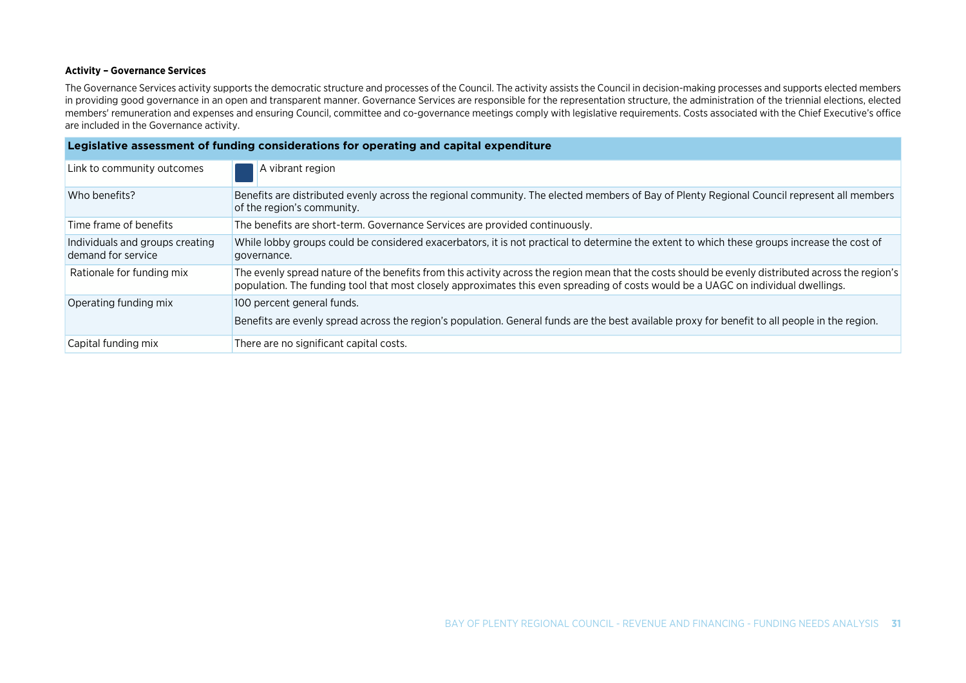#### **Activity – Governance Services**

The Governance Services activity supports the democratic structure and processes of the Council. The activity assists the Council in decision-making processes and supports elected members in providing good governance in an open and transparent manner. Governance Services are responsible for the representation structure, the administration of the triennial elections, elected members' remuneration and expenses and ensuring Council, committee and co-governance meetings comply with legislative requirements. Costs associated with the Chief Executive's office are included in the Governance activity.

| Legislative assessment of funding considerations for operating and capital expenditure |                                                                                                                                                                                                                                                                                         |  |
|----------------------------------------------------------------------------------------|-----------------------------------------------------------------------------------------------------------------------------------------------------------------------------------------------------------------------------------------------------------------------------------------|--|
| Link to community outcomes                                                             | A vibrant region                                                                                                                                                                                                                                                                        |  |
| Who benefits?                                                                          | Benefits are distributed evenly across the regional community. The elected members of Bay of Plenty Regional Council represent all members<br>of the region's community.                                                                                                                |  |
| Time frame of benefits                                                                 | The benefits are short-term. Governance Services are provided continuously.                                                                                                                                                                                                             |  |
| Individuals and groups creating<br>demand for service                                  | While lobby groups could be considered exacerbators, it is not practical to determine the extent to which these groups increase the cost of<br>governance.                                                                                                                              |  |
| Rationale for funding mix                                                              | The evenly spread nature of the benefits from this activity across the region mean that the costs should be evenly distributed across the region's<br>population. The funding tool that most closely approximates this even spreading of costs would be a UAGC on individual dwellings. |  |
| Operating funding mix                                                                  | 100 percent general funds.                                                                                                                                                                                                                                                              |  |
|                                                                                        | Benefits are evenly spread across the region's population. General funds are the best available proxy for benefit to all people in the region.                                                                                                                                          |  |
| Capital funding mix                                                                    | There are no significant capital costs.                                                                                                                                                                                                                                                 |  |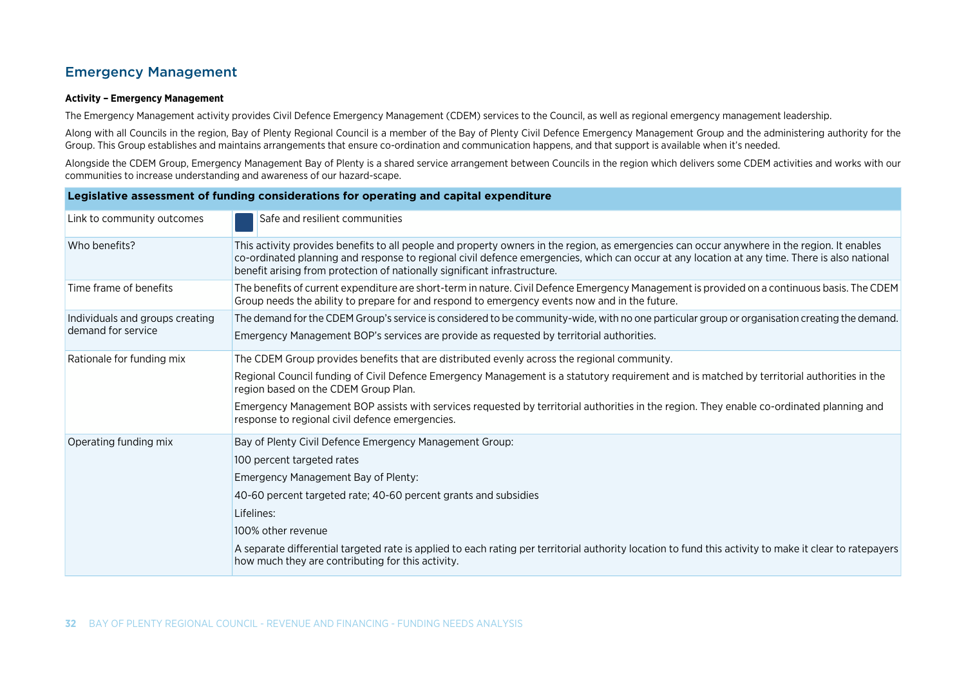### Emergency Management

#### **Activity – Emergency Management**

The Emergency Management activity provides Civil Defence Emergency Management (CDEM) services to the Council, as well as regional emergency management leadership.

Along with all Councils in the region, Bay of Plenty Regional Council is a member of the Bay of Plenty Civil Defence Emergency Management Group and the administering authority for the Group. This Group establishes and maintains arrangements that ensure co-ordination and communication happens, and that support is available when it's needed.

Alongside the CDEM Group, Emergency Management Bay of Plenty is a shared service arrangement between Councils in the region which delivers some CDEM activities and works with our communities to increase understanding and awareness of our hazard-scape.

| Legislative assessment of funding considerations for operating and capital expenditure |                                                                                                                                                                                                                                                                                                                                                                                                                                                                                  |  |
|----------------------------------------------------------------------------------------|----------------------------------------------------------------------------------------------------------------------------------------------------------------------------------------------------------------------------------------------------------------------------------------------------------------------------------------------------------------------------------------------------------------------------------------------------------------------------------|--|
| Link to community outcomes                                                             | Safe and resilient communities                                                                                                                                                                                                                                                                                                                                                                                                                                                   |  |
| Who benefits?                                                                          | This activity provides benefits to all people and property owners in the region, as emergencies can occur anywhere in the region. It enables<br>co-ordinated planning and response to regional civil defence emergencies, which can occur at any location at any time. There is also national<br>benefit arising from protection of nationally significant infrastructure.                                                                                                       |  |
| Time frame of benefits                                                                 | The benefits of current expenditure are short-term in nature. Civil Defence Emergency Management is provided on a continuous basis. The CDEM<br>Group needs the ability to prepare for and respond to emergency events now and in the future.                                                                                                                                                                                                                                    |  |
| Individuals and groups creating<br>demand for service                                  | The demand for the CDEM Group's service is considered to be community-wide, with no one particular group or organisation creating the demand.<br>Emergency Management BOP's services are provide as requested by territorial authorities.                                                                                                                                                                                                                                        |  |
| Rationale for funding mix                                                              | The CDEM Group provides benefits that are distributed evenly across the regional community.<br>Regional Council funding of Civil Defence Emergency Management is a statutory requirement and is matched by territorial authorities in the<br>region based on the CDEM Group Plan.<br>Emergency Management BOP assists with services requested by territorial authorities in the region. They enable co-ordinated planning and<br>response to regional civil defence emergencies. |  |
| Operating funding mix                                                                  | Bay of Plenty Civil Defence Emergency Management Group:<br>100 percent targeted rates<br>Emergency Management Bay of Plenty:<br>40-60 percent targeted rate; 40-60 percent grants and subsidies<br>Lifelines:<br>100% other revenue<br>A separate differential targeted rate is applied to each rating per territorial authority location to fund this activity to make it clear to ratepayers<br>how much they are contributing for this activity.                              |  |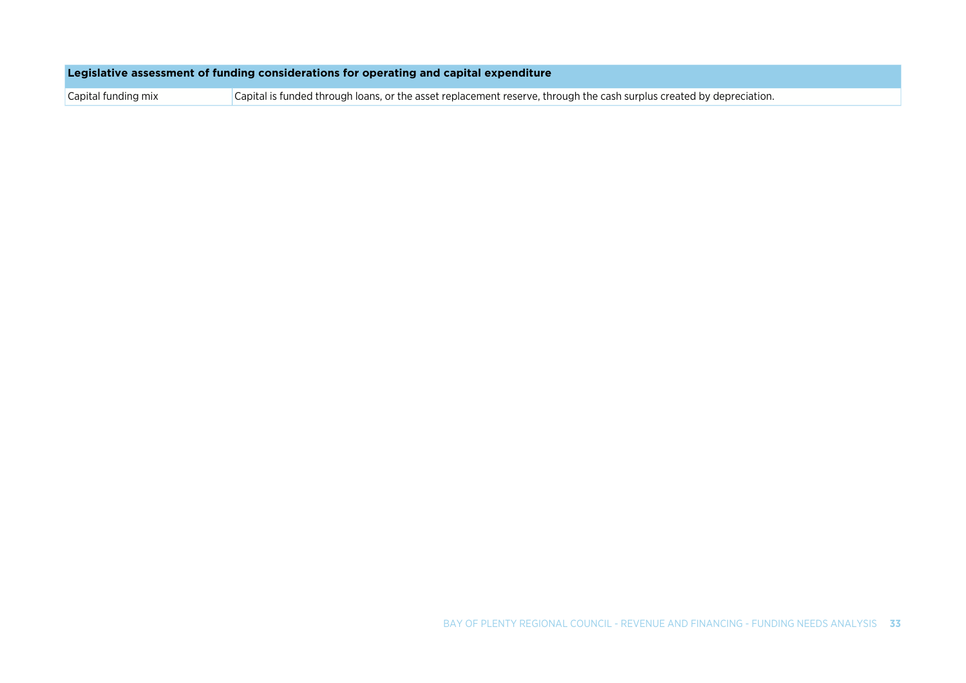| Legislative assessment of funding considerations for operating and capital expenditure |  |  |  |
|----------------------------------------------------------------------------------------|--|--|--|
|                                                                                        |  |  |  |

Capital funding mix Capital is funded through loans, or the asset replacement reserve, through the cash surplus created by depreciation.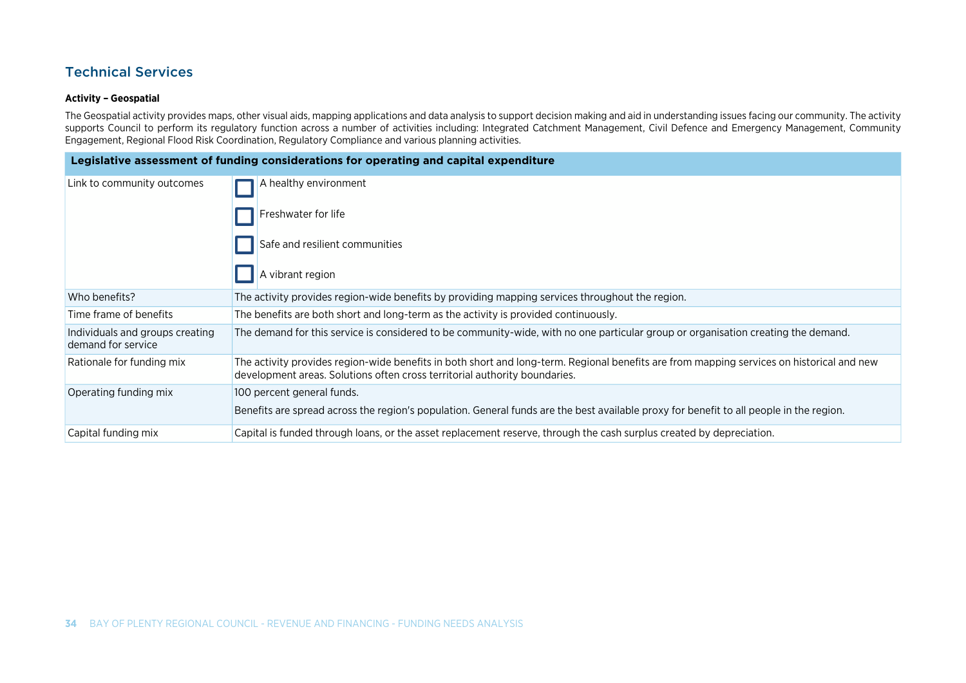### Technical Services

#### **Activity – Geospatial**

The Geospatial activity provides maps, other visual aids, mapping applications and data analysis to support decision making and aid in understanding issues facing our community. The activity supports Council to perform its regulatory function across a number of activities including: Integrated Catchment Management, Civil Defence and Emergency Management, Community Engagement, Regional Flood Risk Coordination, Regulatory Compliance and various planning activities.

| Legislative assessment of funding considerations for operating and capital expenditure |                                                                                                                                                                                                                         |  |
|----------------------------------------------------------------------------------------|-------------------------------------------------------------------------------------------------------------------------------------------------------------------------------------------------------------------------|--|
| Link to community outcomes                                                             | A healthy environment                                                                                                                                                                                                   |  |
|                                                                                        | Freshwater for life                                                                                                                                                                                                     |  |
|                                                                                        | Safe and resilient communities                                                                                                                                                                                          |  |
|                                                                                        | A vibrant region                                                                                                                                                                                                        |  |
| Who benefits?                                                                          | The activity provides region-wide benefits by providing mapping services throughout the region.                                                                                                                         |  |
| Time frame of benefits                                                                 | The benefits are both short and long-term as the activity is provided continuously.                                                                                                                                     |  |
| Individuals and groups creating<br>demand for service                                  | The demand for this service is considered to be community-wide, with no one particular group or organisation creating the demand.                                                                                       |  |
| Rationale for funding mix                                                              | The activity provides region-wide benefits in both short and long-term. Regional benefits are from mapping services on historical and new<br>development areas. Solutions often cross territorial authority boundaries. |  |
| Operating funding mix                                                                  | 100 percent general funds.                                                                                                                                                                                              |  |
|                                                                                        | Benefits are spread across the region's population. General funds are the best available proxy for benefit to all people in the region.                                                                                 |  |
| Capital funding mix                                                                    | Capital is funded through loans, or the asset replacement reserve, through the cash surplus created by depreciation.                                                                                                    |  |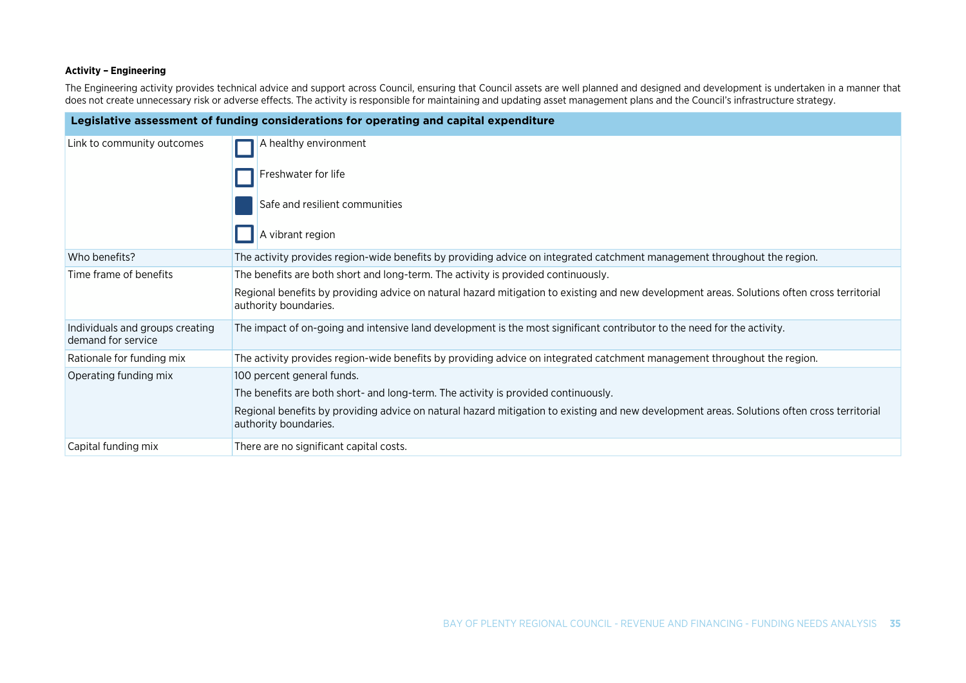#### **Activity – Engineering**

The Engineering activity provides technical advice and support across Council, ensuring that Council assets are well planned and designed and development is undertaken in a manner that does not create unnecessary risk or adverse effects. The activity is responsible for maintaining and updating asset management plans and the Council's infrastructure strategy.

| Legislative assessment of funding considerations for operating and capital expenditure |                                                                                                                                                                      |  |
|----------------------------------------------------------------------------------------|----------------------------------------------------------------------------------------------------------------------------------------------------------------------|--|
| Link to community outcomes                                                             | A healthy environment                                                                                                                                                |  |
|                                                                                        | Freshwater for life                                                                                                                                                  |  |
|                                                                                        | Safe and resilient communities                                                                                                                                       |  |
|                                                                                        | A vibrant region                                                                                                                                                     |  |
| Who benefits?                                                                          | The activity provides region-wide benefits by providing advice on integrated catchment management throughout the region.                                             |  |
| Time frame of benefits                                                                 | The benefits are both short and long-term. The activity is provided continuously.                                                                                    |  |
|                                                                                        | Regional benefits by providing advice on natural hazard mitigation to existing and new development areas. Solutions often cross territorial<br>authority boundaries. |  |
| Individuals and groups creating<br>demand for service                                  | The impact of on-going and intensive land development is the most significant contributor to the need for the activity.                                              |  |
| Rationale for funding mix                                                              | The activity provides region-wide benefits by providing advice on integrated catchment management throughout the region.                                             |  |
| Operating funding mix                                                                  | 100 percent general funds.                                                                                                                                           |  |
|                                                                                        | The benefits are both short- and long-term. The activity is provided continuously.                                                                                   |  |
|                                                                                        | Regional benefits by providing advice on natural hazard mitigation to existing and new development areas. Solutions often cross territorial<br>authority boundaries. |  |
| Capital funding mix                                                                    | There are no significant capital costs.                                                                                                                              |  |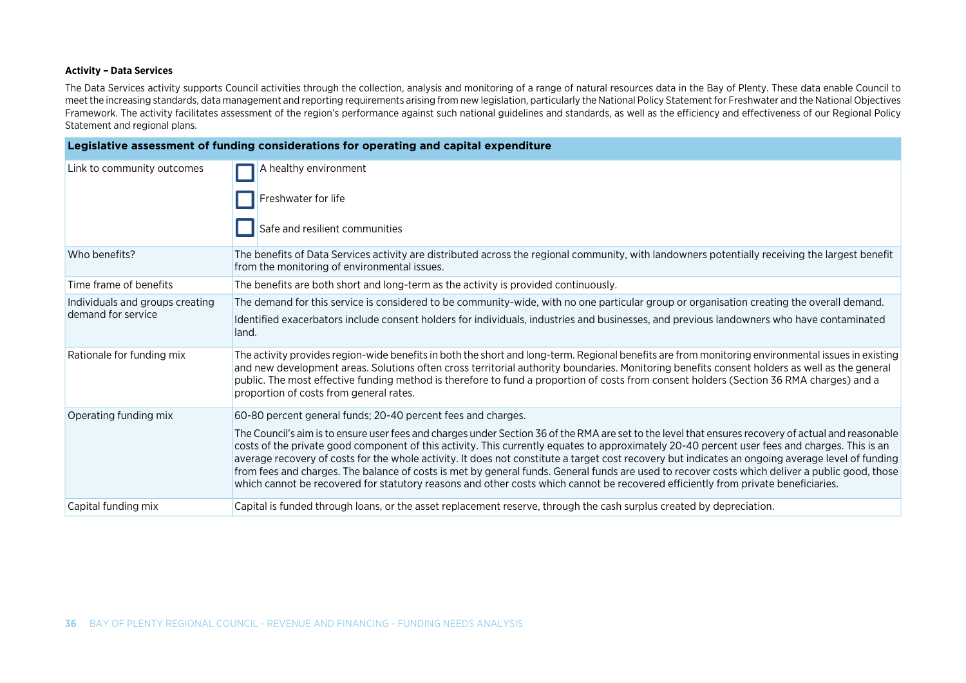#### **Activity – Data Services**

The Data Services activity supports Council activities through the collection, analysis and monitoring of a range of natural resources data in the Bay of Plenty. These data enable Council to meet the increasing standards, data management and reporting requirements arising from new legislation, particularly the National Policy Statement for Freshwater and the National Objectives Framework. The activity facilitates assessment of the region's performance against such national guidelines and standards, as well as the efficiency and effectiveness of our Regional Policy Statement and regional plans.

| Legislative assessment of funding considerations for operating and capital expenditure |                                                                                                                                                                                                                                                                                                                                                                                                                                                                                                                                                                                                                                                                                                                                                    |  |
|----------------------------------------------------------------------------------------|----------------------------------------------------------------------------------------------------------------------------------------------------------------------------------------------------------------------------------------------------------------------------------------------------------------------------------------------------------------------------------------------------------------------------------------------------------------------------------------------------------------------------------------------------------------------------------------------------------------------------------------------------------------------------------------------------------------------------------------------------|--|
| Link to community outcomes                                                             | A healthy environment                                                                                                                                                                                                                                                                                                                                                                                                                                                                                                                                                                                                                                                                                                                              |  |
|                                                                                        | Freshwater for life                                                                                                                                                                                                                                                                                                                                                                                                                                                                                                                                                                                                                                                                                                                                |  |
|                                                                                        | Safe and resilient communities                                                                                                                                                                                                                                                                                                                                                                                                                                                                                                                                                                                                                                                                                                                     |  |
| Who benefits?                                                                          | The benefits of Data Services activity are distributed across the regional community, with landowners potentially receiving the largest benefit<br>from the monitoring of environmental issues.                                                                                                                                                                                                                                                                                                                                                                                                                                                                                                                                                    |  |
| Time frame of benefits                                                                 | The benefits are both short and long-term as the activity is provided continuously.                                                                                                                                                                                                                                                                                                                                                                                                                                                                                                                                                                                                                                                                |  |
| Individuals and groups creating                                                        | The demand for this service is considered to be community-wide, with no one particular group or organisation creating the overall demand.                                                                                                                                                                                                                                                                                                                                                                                                                                                                                                                                                                                                          |  |
| demand for service                                                                     | Identified exacerbators include consent holders for individuals, industries and businesses, and previous landowners who have contaminated<br>land.                                                                                                                                                                                                                                                                                                                                                                                                                                                                                                                                                                                                 |  |
| Rationale for funding mix                                                              | The activity provides region-wide benefits in both the short and long-term. Regional benefits are from monitoring environmental issues in existing<br>and new development areas. Solutions often cross territorial authority boundaries. Monitoring benefits consent holders as well as the general<br>public. The most effective funding method is therefore to fund a proportion of costs from consent holders (Section 36 RMA charges) and a<br>proportion of costs from general rates.                                                                                                                                                                                                                                                         |  |
| Operating funding mix                                                                  | 60-80 percent general funds; 20-40 percent fees and charges.                                                                                                                                                                                                                                                                                                                                                                                                                                                                                                                                                                                                                                                                                       |  |
|                                                                                        | The Council's aim is to ensure user fees and charges under Section 36 of the RMA are set to the level that ensures recovery of actual and reasonable<br>costs of the private good component of this activity. This currently equates to approximately 20-40 percent user fees and charges. This is an<br>average recovery of costs for the whole activity. It does not constitute a target cost recovery but indicates an ongoing average level of funding<br>from fees and charges. The balance of costs is met by general funds. General funds are used to recover costs which deliver a public good, those<br>which cannot be recovered for statutory reasons and other costs which cannot be recovered efficiently from private beneficiaries. |  |
| Capital funding mix                                                                    | Capital is funded through loans, or the asset replacement reserve, through the cash surplus created by depreciation.                                                                                                                                                                                                                                                                                                                                                                                                                                                                                                                                                                                                                               |  |